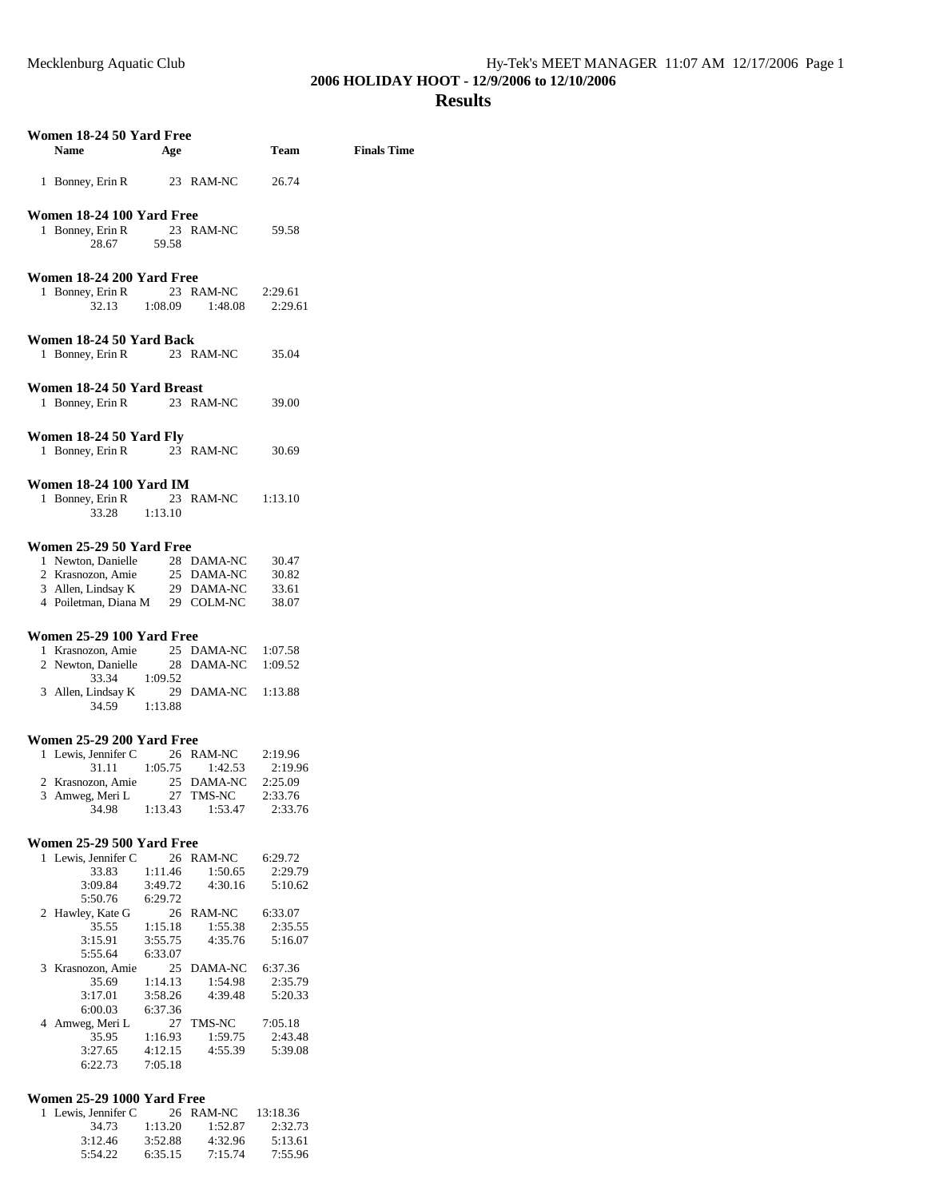## **Results**

| Women 18-24 50 Yard Free                                                                                                          |         |                       |         |                    |
|-----------------------------------------------------------------------------------------------------------------------------------|---------|-----------------------|---------|--------------------|
| Name                                                                                                                              | Age     |                       | Team    | <b>Finals Time</b> |
|                                                                                                                                   |         |                       |         |                    |
| 1 Bonney, Erin R                                                                                                                  |         | 23 RAM-NC             | 26.74   |                    |
|                                                                                                                                   |         |                       |         |                    |
| Women 18-24 100 Yard Free                                                                                                         |         |                       |         |                    |
| 1 Bonney, Erin R 23 RAM-NC 59.58                                                                                                  |         |                       |         |                    |
| 28.67 59.58                                                                                                                       |         |                       |         |                    |
|                                                                                                                                   |         |                       |         |                    |
|                                                                                                                                   |         |                       |         |                    |
| Women 18-24 200 Yard Free                                                                                                         |         |                       |         |                    |
| 1 Bonney, Erin R 23 RAM-NC                                                                                                        |         |                       | 2:29.61 |                    |
|                                                                                                                                   |         | 32.13 1:08.09 1:48.08 | 2:29.61 |                    |
|                                                                                                                                   |         |                       |         |                    |
| Women 18-24 50 Yard Back                                                                                                          |         |                       |         |                    |
| 1 Bonney, Erin R                                                                                                                  |         | 23 RAM-NC 35.04       |         |                    |
|                                                                                                                                   |         |                       |         |                    |
| Women 18-24 50 Yard Breast                                                                                                        |         |                       |         |                    |
| 1 Bonney, Erin R 23 RAM-NC                                                                                                        |         |                       | 39.00   |                    |
|                                                                                                                                   |         |                       |         |                    |
|                                                                                                                                   |         |                       |         |                    |
| Women 18-24 50 Yard Fly                                                                                                           |         |                       |         |                    |
| 1 Bonney, Erin R 23 RAM-NC                                                                                                        |         |                       | 30.69   |                    |
|                                                                                                                                   |         |                       |         |                    |
| <b>Women 18-24 100 Yard IM</b>                                                                                                    |         |                       |         |                    |
| 1 Bonney, Erin R                                                                                                                  |         | 23 RAM-NC 1:13.10     |         |                    |
| 33.28 1:13.10                                                                                                                     |         |                       |         |                    |
|                                                                                                                                   |         |                       |         |                    |
| Women 25-29 50 Yard Free                                                                                                          |         |                       |         |                    |
|                                                                                                                                   |         |                       |         |                    |
| 1 Newton, Danielle 28 DAMA-NC<br>2 Krasnozon, Amie 25 DAMA-NC<br>3 Allen, Lindsay K 29 DAMA-NC<br>4 Poiletman, Diana M 29 COLM-NC |         |                       | 30.47   |                    |
|                                                                                                                                   |         |                       | 30.82   |                    |
|                                                                                                                                   |         |                       | 33.61   |                    |
|                                                                                                                                   |         |                       | 38.07   |                    |
|                                                                                                                                   |         |                       |         |                    |
| Women 25-29 100 Yard Free                                                                                                         |         |                       |         |                    |
| 1 Krasnozon, Amie 25 DAMA-NC                                                                                                      |         |                       | 1:07.58 |                    |
| 2 Newton, Danielle 28 DAMA-NC                                                                                                     |         |                       | 1:09.52 |                    |
| 33.34 1:09.52                                                                                                                     |         |                       |         |                    |
| 3 Allen, Lindsay K 29 DAMA-NC 1:13.88                                                                                             |         |                       |         |                    |
| 34.59 1:13.88                                                                                                                     |         |                       |         |                    |
|                                                                                                                                   |         |                       |         |                    |
| Women 25-29 200 Yard Free                                                                                                         |         |                       |         |                    |
| 1 Lewis, Jennifer C                                                                                                               |         | 26 RAM-NC             | 2:19.96 |                    |
|                                                                                                                                   |         | 31.11 1:05.75 1:42.53 | 2:19.96 |                    |
| 2 Krasnozon, Amie 25 DAMA-NC                                                                                                      |         |                       | 2:25.09 |                    |
| 3 Amweg, Meri L                                                                                                                   |         | 27 TMS-NC             | 2:33.76 |                    |
| 34.98                                                                                                                             | 1:13.43 | 1:53.47               | 2:33.76 |                    |
|                                                                                                                                   |         |                       |         |                    |
|                                                                                                                                   |         |                       |         |                    |
| Women 25-29 500 Yard Free                                                                                                         |         |                       |         |                    |
| 1 Lewis, Jennifer C                                                                                                               |         | 26 RAM-NC             | 6:29.72 |                    |
| 33.83                                                                                                                             | 1:11.46 | 1:50.65               | 2:29.79 |                    |
| 3:09.84                                                                                                                           | 3:49.72 | 4:30.16               | 5:10.62 |                    |
| 5:50.76                                                                                                                           | 6:29.72 |                       |         |                    |
| 2 Hawley, Kate G                                                                                                                  |         | 26 RAM-NC             | 6:33.07 |                    |
| 35.55                                                                                                                             | 1:15.18 | 1:55.38               | 2:35.55 |                    |
| 3:15.91                                                                                                                           | 3:55.75 | 4:35.76               | 5:16.07 |                    |
| 5:55.64                                                                                                                           | 6:33.07 |                       |         |                    |
| 3 Krasnozon, Amie                                                                                                                 |         | 25 DAMA-NC            | 6:37.36 |                    |
| 35.69                                                                                                                             | 1:14.13 | 1:54.98               | 2:35.79 |                    |
| 3:17.01                                                                                                                           | 3:58.26 | 4:39.48               | 5:20.33 |                    |
| 6:00.03                                                                                                                           | 6:37.36 |                       |         |                    |
| 4 Amweg, Meri L                                                                                                                   |         | 27 TMS-NC             | 7:05.18 |                    |
| 35.95                                                                                                                             | 1:16.93 | 1:59.75               | 2:43.48 |                    |
| 3:27.65                                                                                                                           | 4:12.15 | 4:55.39               | 5:39.08 |                    |
| 6:22.73                                                                                                                           | 7:05.18 |                       |         |                    |
|                                                                                                                                   |         |                       |         |                    |

## **Women 25-29 1000 Yard Free**

| 1 Lewis. Jennifer C |         | 26 RAM-NC | 13:18.36 |
|---------------------|---------|-----------|----------|
| 34.73               | 1:13.20 | 1:52.87   | 2:32.73  |
| 3:12.46             | 3:52.88 | 4:32.96   | 5:13.61  |
| 5:54.22             | 6:35.15 | 7:15.74   | 7:55.96  |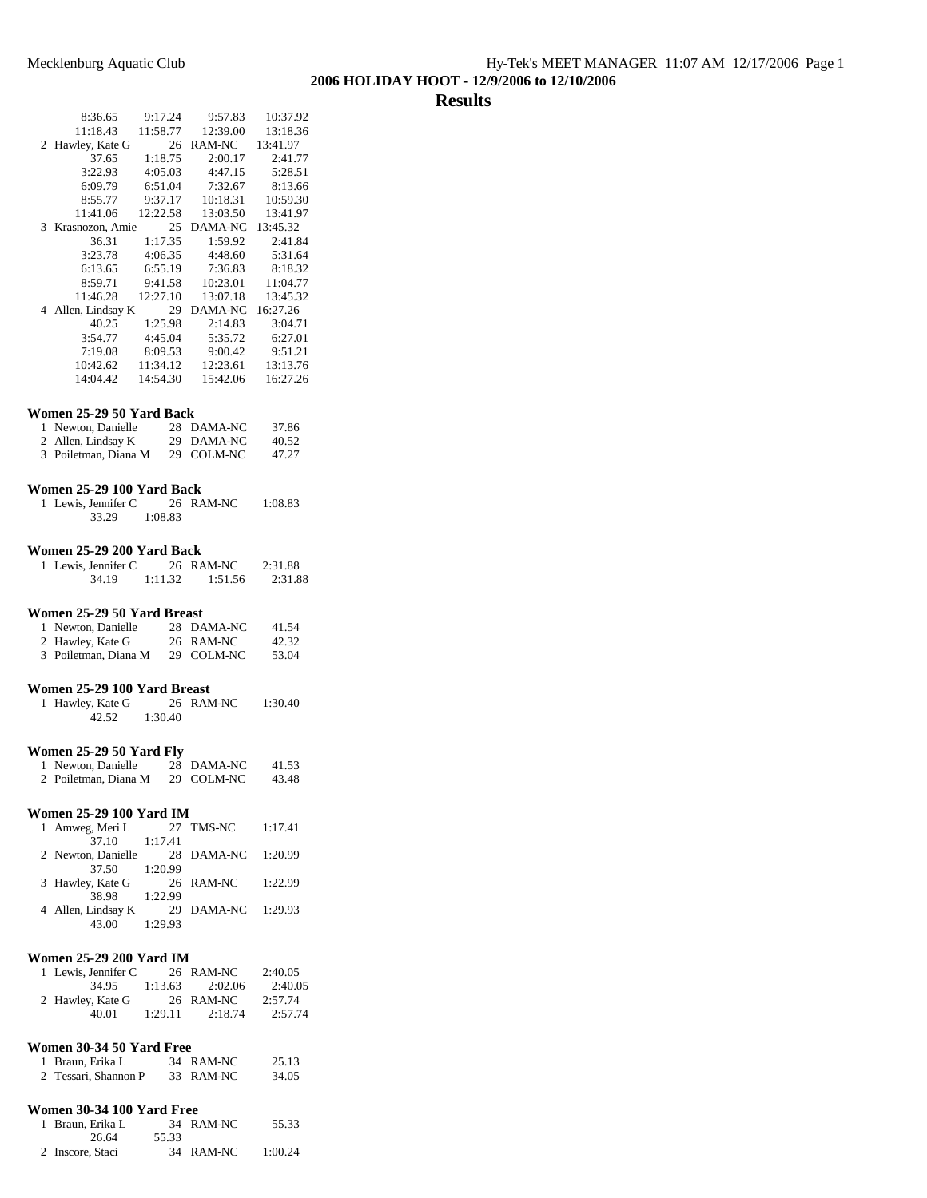# **Results**

|                | 8:36.65                         | 9:17.24  | 9:57.83            | 10:37.92 |
|----------------|---------------------------------|----------|--------------------|----------|
|                | 11:18.43                        | 11:58.77 | 12:39.00           | 13:18.36 |
|                | 2 Hawley, Kate G                | 26       | RAM-NC             | 13:41.97 |
|                | 37.65                           | 1:18.75  | 2:00.17            | 2:41.77  |
|                | 3:22.93                         | 4:05.03  | 4:47.15            | 5:28.51  |
|                | 6:09.79                         | 6:51.04  | 7:32.67            | 8:13.66  |
|                | 8:55.77                         | 9:37.17  | 10:18.31           | 10:59.30 |
|                | 11:41.06                        | 12:22.58 | 13:03.50           | 13:41.97 |
|                | 3 Krasnozon, Amie               | 25       | DAMA-NC            | 13:45.32 |
|                | 36.31                           | 1:17.35  | 1:59.92            | 2:41.84  |
|                | 3:23.78                         | 4:06.35  | 4:48.60            | 5:31.64  |
|                | 6:13.65                         | 6:55.19  | 7:36.83            | 8:18.32  |
|                | 8:59.71                         | 9:41.58  | 10:23.01           | 11:04.77 |
|                | 11:46.28                        | 12:27.10 | 13:07.18           | 13:45.32 |
|                | 4 Allen, Lindsay K              | 29       | DAMA-NC            | 16:27.26 |
|                | 40.25                           | 1:25.98  | 2:14.83            | 3:04.71  |
|                | 3:54.77                         | 4:45.04  | 5:35.72            | 6:27.01  |
|                | 7:19.08                         | 8:09.53  | 9:00.42            | 9:51.21  |
|                | 10:42.62                        | 11:34.12 | 12:23.61           | 13:13.76 |
|                | 14:04.42                        | 14:54.30 | 15:42.06           | 16:27.26 |
|                |                                 |          |                    |          |
|                | Women 25-29 50 Yard Back        |          |                    |          |
|                | 1 Newton, Danielle              |          | 28 DAMA-NC         | 37.86    |
|                | 2 Allen, Lindsay K              |          | 29 DAMA-NC         | 40.52    |
|                | 3 Poiletman, Diana M            |          | 29 COLM-NC         | 47.27    |
|                |                                 |          |                    |          |
|                | Women 25-29 100 Yard Back       |          |                    |          |
| 1              | Lewis, Jennifer C               | 26       | RAM-NC             | 1:08.83  |
|                | 33.29                           | 1:08.83  |                    |          |
|                |                                 |          |                    |          |
|                | Women 25-29 200 Yard Back       |          |                    |          |
|                | 1 Lewis, Jennifer C             |          | 26 RAM-NC          | 2:31.88  |
|                | 34.19                           | 1:11.32  | 1:51.56            | 2:31.88  |
|                |                                 |          |                    |          |
|                | Women 25-29 50 Yard Breast      |          |                    |          |
| 1              | Newton, Danielle                |          | 28 DAMA-NC         | 41.54    |
|                | 2 Hawley, Kate G                |          | 26 RAM-NC          | 42.32    |
|                | 3 Poiletman, Diana M            |          | 29 COLM-NC         | 53.04    |
|                |                                 |          |                    |          |
|                | Women 25-29 100 Yard Breast     |          |                    |          |
| 1              | Hawley, Kate G                  | 26       | RAM-NC             | 1:30.40  |
|                | 42.52                           | 1:30.40  |                    |          |
|                |                                 |          |                    |          |
|                | <b>Women 25-29 50 Yard Fly</b>  |          |                    |          |
| 1              | Newton, Danielle                | 28       | DAMA-NC            | 41.53    |
|                | 2 Poiletman, Diana M 29 COLM-NC |          |                    | 43.48    |
|                |                                 |          |                    |          |
|                | Women 25-29 100 Yard IM         |          |                    |          |
| 1              | Amweg, Meri L                   |          | 27 TMS-NC          | 1:17.41  |
|                | 37.10                           | 1:17.41  |                    |          |
| 2              | Newton, Danielle                |          | 28 DAMA-NC 1:20.99 |          |
|                | 37.50                           | 1:20.99  |                    |          |
| 3              | Hawley, Kate G                  |          | 26 RAM-NC          | 1:22.99  |
|                | 38.98                           | 1:22.99  |                    |          |
|                | 4 Allen, Lindsay K              |          | 29 DAMA-NC 1:29.93 |          |
|                | 43.00                           | 1:29.93  |                    |          |
|                |                                 |          |                    |          |
|                | Women 25-29 200 Yard IM         |          |                    |          |
| 1              | Lewis, Jennifer C               |          | 26 RAM-NC          | 2:40.05  |
|                | 34.95                           | 1:13.63  | 2:02.06            | 2:40.05  |
| 2              | Hawley, Kate G                  |          | 26 RAM-NC          | 2:57.74  |
|                | 40.01                           | 1:29.11  | 2:18.74            | 2:57.74  |
|                |                                 |          |                    |          |
|                | Women 30-34 50 Yard Free        |          |                    |          |
| 1              | Braun, Erika L                  |          | 34 RAM-NC          | 25.13    |
| $\overline{2}$ | Tessari, Shannon P 33 RAM-NC    |          |                    | 34.05    |
|                |                                 |          |                    |          |
|                |                                 |          |                    |          |

| Women 30-34 100 Yard Free |       |           |         |
|---------------------------|-------|-----------|---------|
| 1 Braun, Erika L          |       | 34 RAM-NC | 55.33   |
| 26.64                     | 55.33 |           |         |
| 2 Inscore, Staci          |       | 34 RAM-NC | 1:00.24 |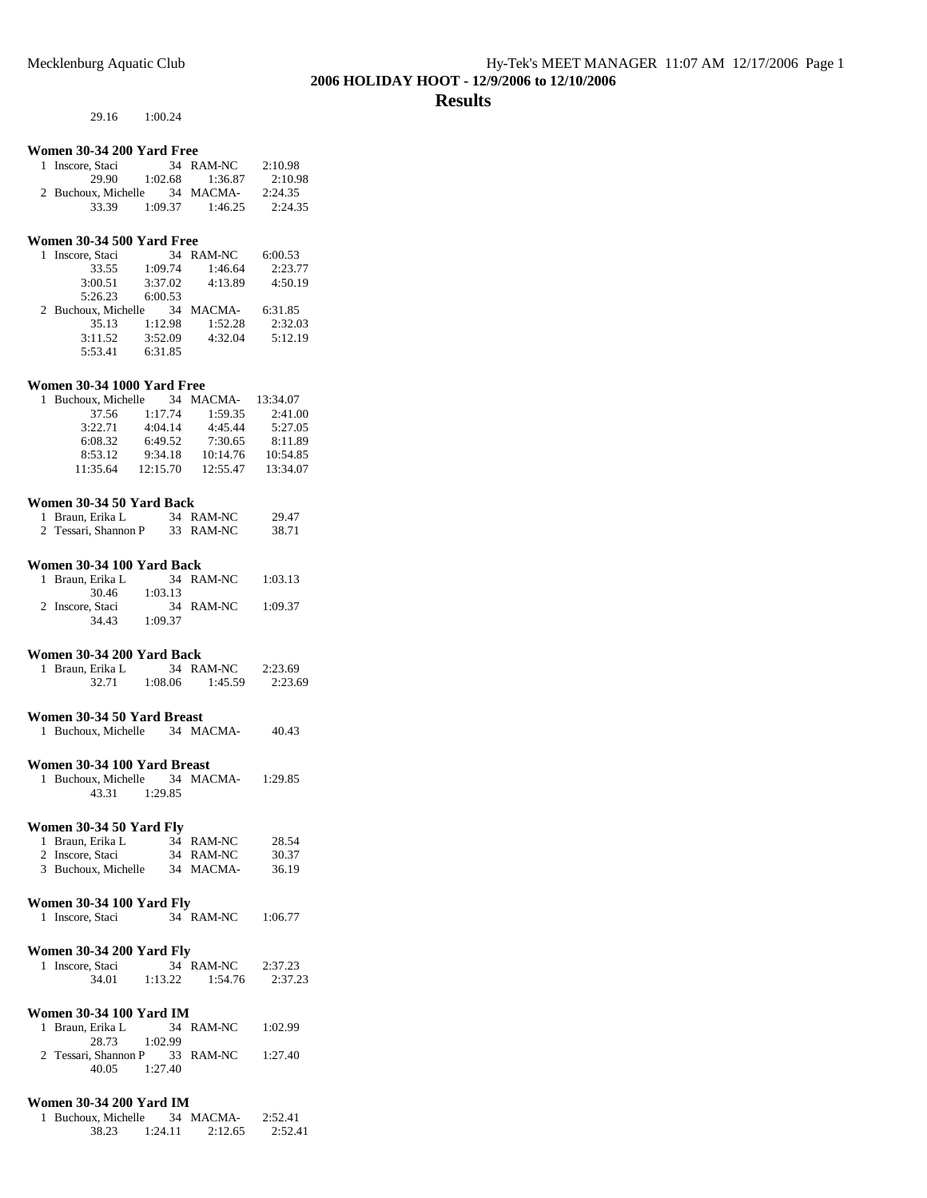29.16 1:00.24

## **Women 30-34 200 Yard Free**

| 1 Inscore, Staci    |         | 34 RAM-NC | 2:10.98 |
|---------------------|---------|-----------|---------|
| 29.90               | 1:02.68 | 1:36.87   | 2:10.98 |
| 2 Buchoux, Michelle |         | 34 MACMA- | 2:24.35 |
| 33.39               | 1:09.37 | 1:46.25   | 2:24.35 |

#### **Women 30-34 500 Yard Free**

| 1 Inscore, Staci    | 34      | RAM-NC  | 6:00.53 |
|---------------------|---------|---------|---------|
| 33.55               | 1:09.74 | 1:46.64 | 2:23.77 |
| 3:00.51             | 3:37.02 | 4:13.89 | 4:50.19 |
| 5:26.23             | 6:00.53 |         |         |
|                     |         |         |         |
| 2 Buchoux, Michelle | 34      | MACMA-  | 6:31.85 |
| 35.13               | 1:12.98 | 1:52.28 | 2:32.03 |
| 3:11.52             | 3:52.09 | 4:32.04 | 5:12.19 |

## **Women 30-34 1000 Yard Free**

| 1 Buchoux, Michelle |          | 34 MACMA- | 13:34.07 |
|---------------------|----------|-----------|----------|
| 37.56               | 1:17.74  | 1:59.35   | 2:41.00  |
| 3:22.71             | 4:04.14  | 4:45.44   | 5:27.05  |
| 6:08.32             | 6:49.52  | 7:30.65   | 8:11.89  |
| 8:53.12             | 9:34.18  | 10:14.76  | 10:54.85 |
| 11:35.64            | 12:15.70 | 12:55.47  | 13:34.07 |

#### **Women 30-34 50 Yard Back**

| 1 Braun, Erika L     | 34 RAM-NC | 29.47 |
|----------------------|-----------|-------|
| 2 Tessari, Shannon P | 33 RAM-NC | 38.71 |

#### **Women 30-34 100 Yard Back**

| 1 Braun, Erika L |         | 34 RAM-NC | 1:03.13 |
|------------------|---------|-----------|---------|
| 30.46            | 1:03.13 |           |         |
| 2 Inscore, Staci |         | 34 RAM-NC | 1:09.37 |
| 34.43            | 1:09.37 |           |         |

## **Women 30-34 200 Yard Back**

| 1 Braun, Erika L |         | 34 RAM-NC | 2:23.69 |
|------------------|---------|-----------|---------|
| 32.71            | 1:08.06 | 1:45.59   | 2:23.69 |

## **Women 30-34 50 Yard Breast**

| 1 Buchoux, Michelle |  | 34 MACMA- | 40.43 |
|---------------------|--|-----------|-------|
|---------------------|--|-----------|-------|

#### **Women 30-34 100 Yard Breast**

| 1 Buchoux, Michelle |         | 34 MACMA- | 1:29.85 |
|---------------------|---------|-----------|---------|
| 43.31               | 1:29.85 |           |         |

#### **Women 30-34 50 Yard Fly**

| 1 Braun, Erika L    | 34 RAM-NC | 28.54 |
|---------------------|-----------|-------|
| 2 Inscore, Staci    | 34 RAM-NC | 30.37 |
| 3 Buchoux, Michelle | 34 MACMA- | 36.19 |

### **Women 30-34 100 Yard Fly**

| 1 Inscore, Staci | 34 RAM-NC | 1:06.77 |
|------------------|-----------|---------|
|                  |           |         |

#### **Women 30-34 200 Yard Fly**

| 1 Inscore, Staci |         | 34 RAM-NC | 2:37.23 |
|------------------|---------|-----------|---------|
| 34.01            | 1:13.22 | 1:54.76   | 2:37.23 |

### **Women 30-34 100 Yard IM**

| 1 Braun, Erika L               |         | 34 RAM-NC | 1:02.99 |
|--------------------------------|---------|-----------|---------|
| 28.73 1:02.99                  |         |           |         |
| 2 Tessari, Shannon P 33 RAM-NC |         |           | 1:27.40 |
| 40.05                          | 1:27.40 |           |         |

## **Women 30-34 200 Yard IM**

| 1 Buchoux, Michelle |         | 34 MACMA- | 2:52.41 |
|---------------------|---------|-----------|---------|
| 38.23               | 1:24.11 | 2:12.65   | 2:52.41 |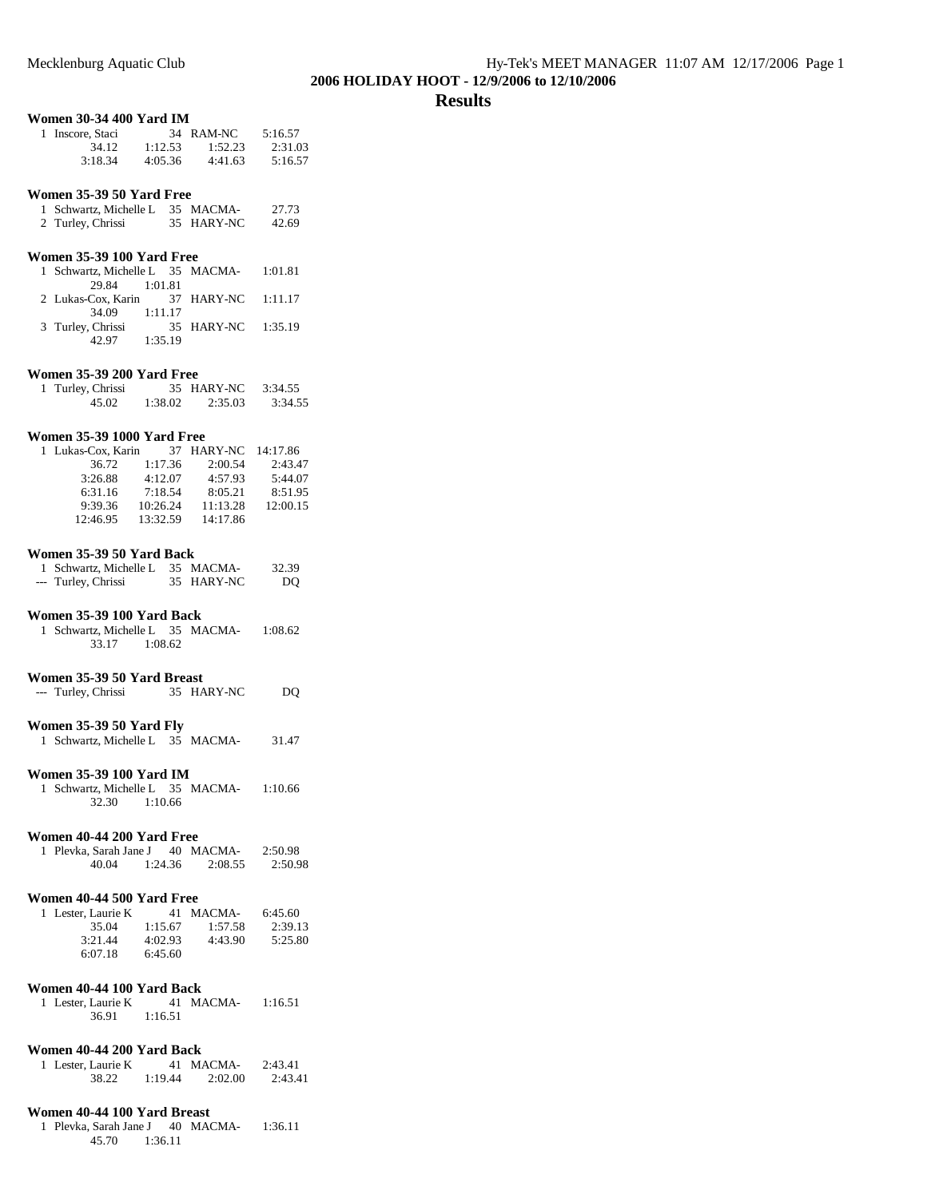### **Results**

## **Women 30-34 400 Yard IM**

| 1 Inscore, Staci |         | 34 RAM-NC | 5:16.57 |
|------------------|---------|-----------|---------|
| 34.12            | 1:12.53 | 1:52.23   | 2:31.03 |
| 3:18.34          | 4:05.36 | 4:41.63   | 5:16.57 |

#### **Women 35-39 50 Yard Free**

| 1 Schwartz, Michelle L | 35 MACMA-  | 27.73 |
|------------------------|------------|-------|
| 2 Turley, Chrissi      | 35 HARY-NC | 42.69 |

## **Women 35-39 100 Yard Free**

| 1 Schwartz, Michelle L 35 MACMA- 1:01.81 |  |                    |  |
|------------------------------------------|--|--------------------|--|
| 29.84 1:01.81                            |  |                    |  |
| 2 Lukas-Cox. Karin 37 HARY-NC 1:11.17    |  |                    |  |
| 34.09 1:11.17                            |  |                    |  |
| 3 Turley, Chrissi                        |  | 35 HARY-NC 1:35.19 |  |
| 42.97 1:35.19                            |  |                    |  |

#### **Women 35-39 200 Yard Free**

| 1 Turley, Chrissi |         | 35 HARY-NC | 3:34.55 |
|-------------------|---------|------------|---------|
| 45.02             | 1:38.02 | 2:35.03    | 3:34.55 |

#### **Women 35-39 1000 Yard Free**

| 1 Lukas-Cox. Karin |          | 37 HARY-NC | 14:17.86 |
|--------------------|----------|------------|----------|
| 36.72              | 1:17.36  | 2:00.54    | 2:43.47  |
| 3:26.88            | 4:12.07  | 4:57.93    | 5:44.07  |
| 6:31.16            | 7:18.54  | 8:05.21    | 8:51.95  |
| 9:39.36            | 10:26.24 | 11:13.28   | 12:00.15 |
| 12:46.95           | 13:32.59 | 14:17.86   |          |

#### **Women 35-39 50 Yard Back**

| 1 Schwartz, Michelle L 35 MACMA- |            | 32.39 |
|----------------------------------|------------|-------|
| --- Turley, Chrissi              | 35 HARY-NC | DO    |

#### **Women 35-39 100 Yard Back**

| 1 Schwartz, Michelle L 35 MACMA- |         |  | 1:08.62 |
|----------------------------------|---------|--|---------|
| 33.17                            | 1:08.62 |  |         |

#### **Women 35-39 50 Yard Breast**

| --- Turley, Chrissi | 35 HARY-NC | DO. |
|---------------------|------------|-----|
|                     |            |     |

## **Women 35-39 50 Yard Fly**

| 1 Schwartz, Michelle L 35 MACMA- |  | 31.47 |
|----------------------------------|--|-------|
|                                  |  |       |

# **Women 35-39 100 Yard IM**<br>1. Schwartz, Michelle L. 35, MACMA

| 1 Schwartz, Michelle L 35 MACMA- |         |  | 1:10.66 |
|----------------------------------|---------|--|---------|
| 32.30                            | 1:10.66 |  |         |

## **Women 40-44 200 Yard Free**

| 1 Plevka, Sarah Jane J |         | 40 MACMA- | 2:50.98 |
|------------------------|---------|-----------|---------|
| 40.04                  | 1:24.36 | 2:08.55   | 2:50.98 |

#### **Women 40-44 500 Yard Free**

| 1 Lester, Laurie K |         | 41 MACMA- | 6:45.60 |
|--------------------|---------|-----------|---------|
| 35.04              | 1:15.67 | 1:57.58   | 2:39.13 |
| 3:21.44            | 4:02.93 | 4:43.90   | 5:25.80 |
| 6:07.18            | 6:45.60 |           |         |

#### **Women 40-44 100 Yard Back**

| 1 Lester, Laurie K |         | 41 MACMA- | 1:16.51 |
|--------------------|---------|-----------|---------|
| 36.91              | 1:16.51 |           |         |

#### **Women 40-44 200 Yard Back**

| 1 Lester, Laurie K |         | 41 MACMA- | 2:43.41 |
|--------------------|---------|-----------|---------|
| 38.22              | 1:19.44 | 2:02.00   | 2:43.41 |

#### **Women 40-44 100 Yard Breast**

1 Plevka, Sarah Jane J 40 MACMA- 1:36.11 45.70 1:36.11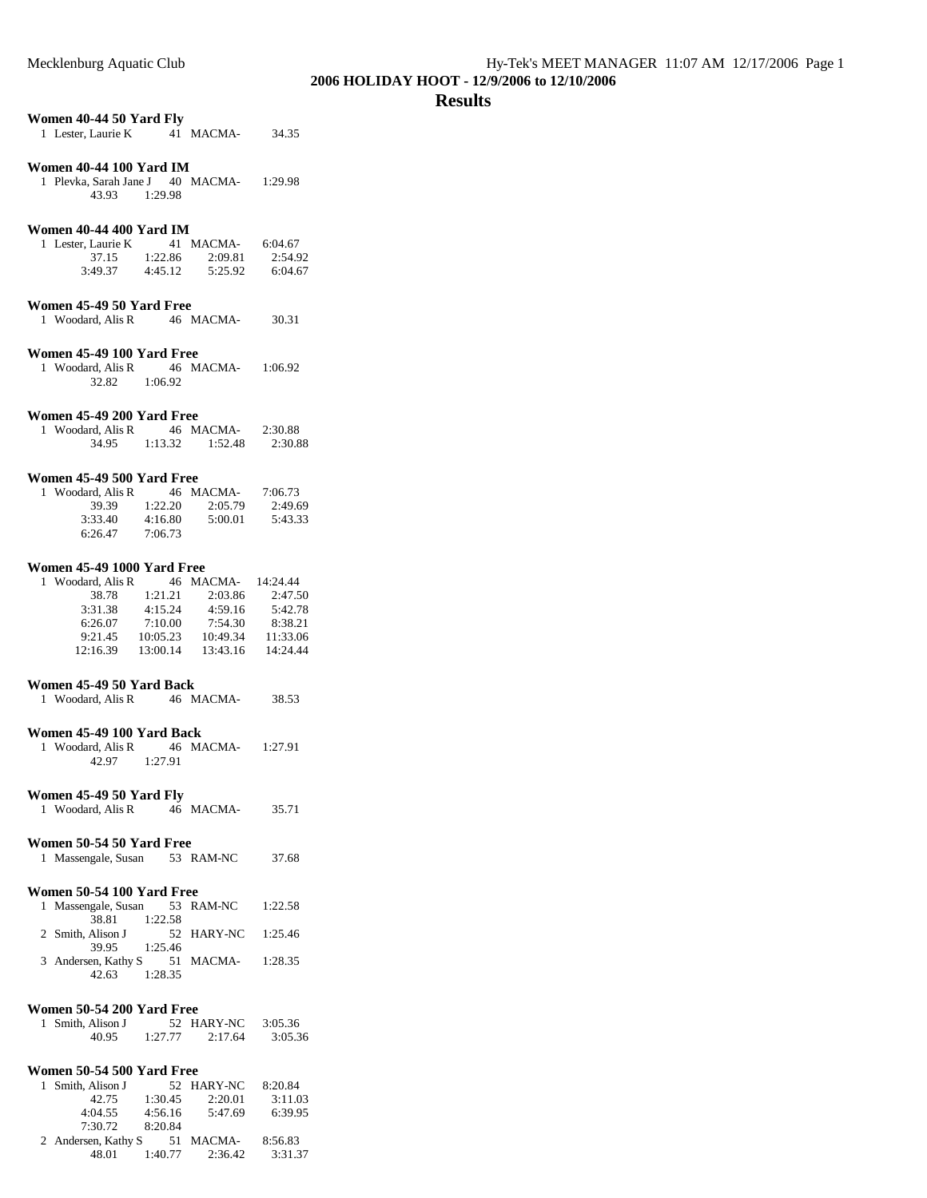#### **Results**

# **Women 40-44 50 Yard Fly**

| 1 Lester, Laurie K | 41 MACMA- | 34.35 |
|--------------------|-----------|-------|
|                    |           |       |

## **Women 40-44 100 Yard IM**

| 1 Plevka, Sarah Jane J |         | 40 MACMA- | 1:29.98 |
|------------------------|---------|-----------|---------|
| 43.93                  | 1:29.98 |           |         |

## **Women 40-44 400 Yard IM**

| 1 Lester, Laurie K |         | 41 MACMA- | 6:04.67 |
|--------------------|---------|-----------|---------|
| 37.15              | 1:22.86 | 2:09.81   | 2:54.92 |
| 3:49.37            | 4:45.12 | 5:25.92   | 6:04.67 |

## **Women 45-49 50 Yard Free**

| 1 Woodard, Alis R | 46 MACMA- | 30.31 |
|-------------------|-----------|-------|
|                   |           |       |

## **Women 45-49 100 Yard Free**

| 1 Woodard, Alis R |         | 46 MACMA- | 1:06.92 |
|-------------------|---------|-----------|---------|
| 32.82             | 1:06.92 |           |         |

#### **Women 45-49 200 Yard Free**

| 1 Woodard, Alis R |         | 46 MACMA- | 2:30.88 |
|-------------------|---------|-----------|---------|
| 34.95             | 1:13.32 | 1:52.48   | 2:30.88 |

## **Women 45-49 500 Yard Free**

| 1 Woodard, Alis R |         | 46 MACMA- | 7:06.73 |
|-------------------|---------|-----------|---------|
| 39.39             | 1:22.20 | 2:05.79   | 2:49.69 |
| 3:33.40           | 4:16.80 | 5:00.01   | 5:43.33 |
| 6:26.47           | 7:06.73 |           |         |

#### **Women 45-49 1000 Yard Free**

| 1 Woodard, Alis R |          | 46 MACMA- | 14:24.44 |
|-------------------|----------|-----------|----------|
| 38.78             | 1:21.21  | 2:03.86   | 2:47.50  |
| 3:31.38           | 4:15.24  | 4:59.16   | 5:42.78  |
| 6:26.07           | 7:10.00  | 7:54.30   | 8:38.21  |
| 9:21.45           | 10:05.23 | 10:49.34  | 11:33.06 |
| 12:16.39          | 13:00.14 | 13:43.16  | 14:24.44 |

## **Women 45-49 50 Yard Back**

| 1 Woodard, Alis R | 46 MACMA- | 38.53 |
|-------------------|-----------|-------|
|                   |           |       |

## **Women 45-49 100 Yard Back**

| 1 Woodard, Alis R |         | 46 MACMA- | 1:27.91 |
|-------------------|---------|-----------|---------|
| 42.97             | 1:27.91 |           |         |

#### **Women 45-49 50 Yard Fly**

| 1 Woodard, Alis R | 46 MACMA- | 35.71 |
|-------------------|-----------|-------|
|                   |           |       |

## **Women 50-54 50 Yard Free**

| 1 Massengale, Susan | 53 RAM-NC | 37.68 |
|---------------------|-----------|-------|
|                     |           |       |

#### **Women 50-54 100 Yard Free**

|                   |               |         | 1 Massengale, Susan 53 RAM-NC | 1:22.58 |
|-------------------|---------------|---------|-------------------------------|---------|
|                   | 38.81 1:22.58 |         |                               |         |
| 2 Smith, Alison J |               |         | 52 HARY-NC 1:25.46            |         |
|                   | 39.95 1:25.46 |         |                               |         |
|                   |               |         | 3 Andersen, Kathy S 51 MACMA- | 1:28.35 |
|                   | 42.63         | 1:28.35 |                               |         |

## **Women 50-54 200 Yard Free**

| 1 Smith, Alison J |         | 52 HARY-NC | 3:05.36 |
|-------------------|---------|------------|---------|
| 40.95             | 1:27.77 | 2:17.64    | 3:05.36 |

## **Women 50-54 500 Yard Free**

|                     |         | 8:20.84                 |
|---------------------|---------|-------------------------|
| 1:30.45             | 2:20.01 | 3:11.03                 |
| 4:56.16             | 5:47.69 | 6:39.95                 |
| 8:20.84             |         |                         |
| 2 Andersen, Kathy S |         | 8:56.83                 |
| 1:40.77             | 2:36.42 | 3:31.37                 |
|                     |         | 52 HARY-NC<br>51 MACMA- |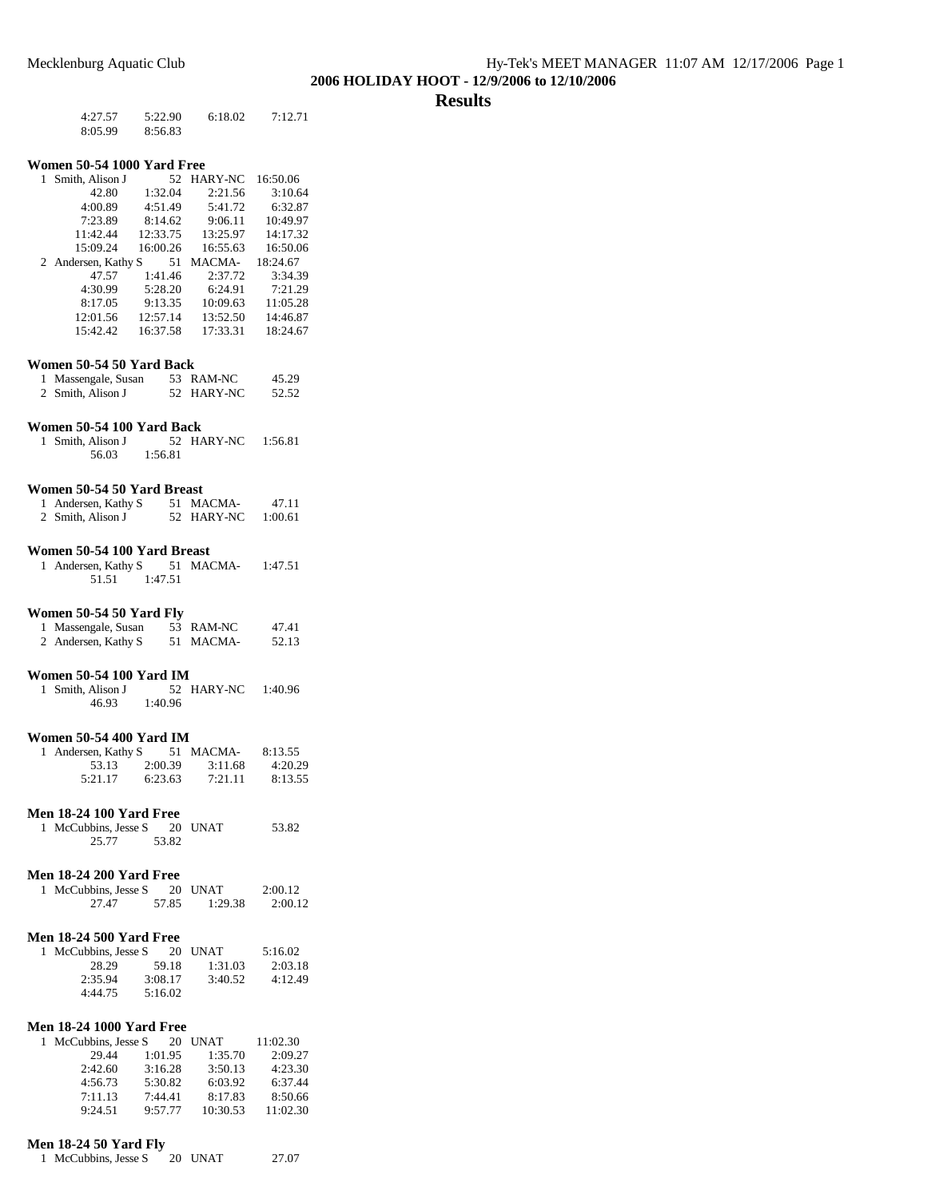### **Results**

| 4:27.57 | 5:22.90 | 6:18.02 | 7:12.71 |
|---------|---------|---------|---------|
| 8:05.99 | 8:56.83 |         |         |

#### **Women 50-54 1000 Yard Free**

| 1. | Smith, Alison J     | 52       | <b>HARY-NC</b> | 16:50.06 |
|----|---------------------|----------|----------------|----------|
|    | 42.80               | 1:32.04  | 2:21.56        | 3:10.64  |
|    | 4:00.89             | 4:51.49  | 5:41.72        | 6:32.87  |
|    | 7:23.89             | 8:14.62  | 9:06.11        | 10:49.97 |
|    | 11:42.44            | 12:33.75 | 13:25.97       | 14:17.32 |
|    | 15:09.24            | 16:00.26 | 16:55.63       | 16:50.06 |
|    |                     |          |                |          |
|    | 2 Andersen, Kathy S | 51       | MACMA-         | 18:24.67 |
|    | 47.57               | 1:41.46  | 2:37.72        | 3:34.39  |
|    | 4:30.99             | 5:28.20  | 6:24.91        | 7:21.29  |
|    | 8:17.05             | 9:13.35  | 10:09.63       | 11:05.28 |
|    | 12:01.56            | 12:57.14 | 13:52.50       | 14:46.87 |

#### **Women 50-54 50 Yard Back**

| 1 Massengale, Susan | 53 RAM-NC  | 45.29 |
|---------------------|------------|-------|
| 2 Smith, Alison J   | 52 HARY-NC | 52.52 |

## **Women 50-54 100 Yard Back**

| 1 Smith, Alison J |         | 52 HARY-NC | 1:56.81 |
|-------------------|---------|------------|---------|
| 56.03             | 1:56.81 |            |         |

#### **Women 50-54 50 Yard Breast**

| 1 Andersen, Kathy S | 51 MACMA-  | 47.11   |
|---------------------|------------|---------|
| 2 Smith, Alison J   | 52 HARY-NC | 1:00.61 |

## **Women 50-54 100 Yard Breast**

| 1 Andersen, Kathy S |         | 51 MACMA- | 1:47.51 |
|---------------------|---------|-----------|---------|
| 51.51               | 1:47.51 |           |         |

## **Women 50-54 50 Yard Fly**

| 1 Massengale, Susan | 53 RAM-NC | 47.41 |
|---------------------|-----------|-------|
| 2 Andersen, Kathy S | 51 MACMA- | 52.13 |

#### **Women 50-54 100 Yard IM**

| 1 Smith, Alison J |         | 52 HARY-NC | 1:40.96 |
|-------------------|---------|------------|---------|
| 46.93             | 1:40.96 |            |         |

### **Women 50-54 400 Yard IM**

| 1 Andersen, Kathy S |         | 51 MACMA- | 8:13.55 |
|---------------------|---------|-----------|---------|
| 53.13               | 2:00.39 | 3:11.68   | 4:20.29 |
| 5:21.17             | 6:23.63 | 7:21.11   | 8:13.55 |

#### **Men 18-24 100 Yard Free**

| 1 McCubbins, Jesse S |       | 20 UNAT | 53.82 |
|----------------------|-------|---------|-------|
| 25.77                | 53.82 |         |       |

#### **Men 18-24 200 Yard Free**

| 1 McCubbins, Jesse S |       | 20 UNAT | 2:00.12 |
|----------------------|-------|---------|---------|
| 27.47                | 57.85 | 1:29.38 | 2:00.12 |

## **Men 18-24 500 Yard Free**

| 1 McCubbins. Jesse S |         | 20 UNAT | 5:16.02 |
|----------------------|---------|---------|---------|
| 28.29                | 59.18   | 1:31.03 | 2:03.18 |
| 2:35.94              | 3:08.17 | 3:40.52 | 4:12.49 |
| 4:44.75              | 5:16.02 |         |         |

## **Men 18-24 1000 Yard Free**

| 1 McCubbins, Jesse S |         | 20 UNAT  | 11:02.30 |
|----------------------|---------|----------|----------|
| 29.44                | 1:01.95 | 1:35.70  | 2:09.27  |
| 2:42.60              | 3:16.28 | 3:50.13  | 4:23.30  |
| 4:56.73              | 5:30.82 | 6:03.92  | 6:37.44  |
| 7:11.13              | 7:44.41 | 8:17.83  | 8:50.66  |
| 9:24.51              | 9:57.77 | 10:30.53 | 11:02.30 |

## **Men 18-24 50 Yard Fly**

| 1 McCubbins, Jesse S | 20 UNAT | 27.07 |
|----------------------|---------|-------|
|----------------------|---------|-------|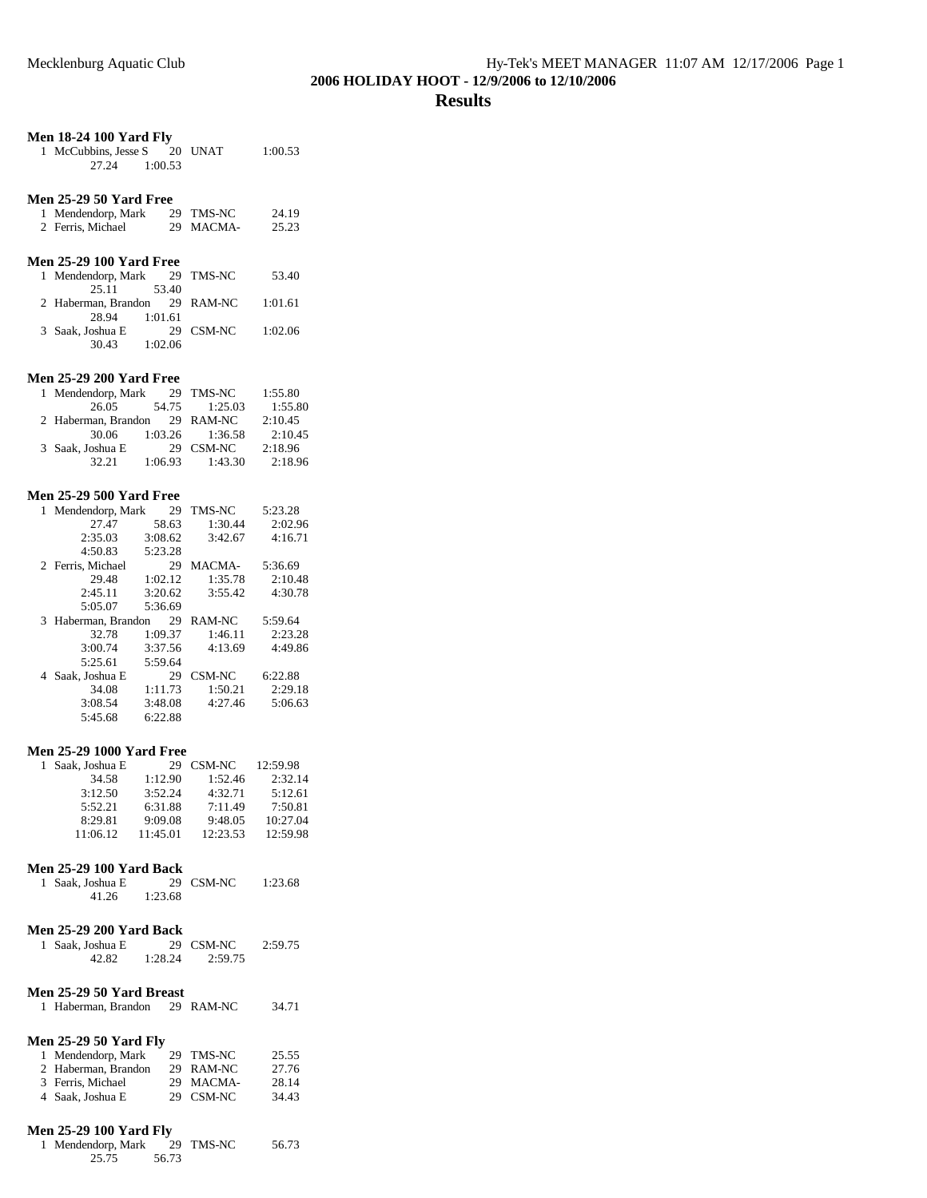## **Men 18-24 100 Yard Fly**

| 1 McCubbins, Jesse S |         | 20 UNAT | 1:00.53 |
|----------------------|---------|---------|---------|
| 27.24                | 1:00.53 |         |         |

## **Men 25-29 50 Yard Free**

| 1 Mendendorp, Mark | 29 TMS-NC | 24.19 |
|--------------------|-----------|-------|
| 2 Ferris, Michael  | 29 MACMA- | 25.23 |

## **Men 25-29 100 Yard Free**

| 1 Mendendorp, Mark 29 TMS-NC  |         |           | 53.40   |
|-------------------------------|---------|-----------|---------|
| 25.11                         | 53.40   |           |         |
| 2 Haberman, Brandon 29 RAM-NC |         |           | 1:01.61 |
| 28.94                         | 1:01.61 |           |         |
| 3 Saak. Joshua E              |         | 29 CSM-NC | 1:02.06 |
| 30.43                         | 1:02.06 |           |         |

#### **Men 25-29 200 Yard Free**

| 1 Mendendorp, Mark            |         | 29 TMS-NC           | 1:55.80 |
|-------------------------------|---------|---------------------|---------|
| 26.05                         | 54.75   | 1:25.03             | 1:55.80 |
| 2 Haberman, Brandon 29 RAM-NC |         |                     | 2:10.45 |
| 30.06                         |         | $1:03.26$ $1:36.58$ | 2:10.45 |
| 3 Saak, Joshua E              |         | 29 CSM-NC           | 2:18.96 |
| 32.21                         | 1:06.93 | 1:43.30             | 2:18.96 |

#### **Men 25-29 500 Yard Free**

| 1  | Mendendorp, Mark  | 29      | <b>TMS-NC</b> | 5:23.28 |
|----|-------------------|---------|---------------|---------|
|    | 27.47             | 58.63   | 1:30.44       | 2:02.96 |
|    | 2:35.03           | 3:08.62 | 3:42.67       | 4:16.71 |
|    | 4:50.83           | 5:23.28 |               |         |
|    | 2 Ferris, Michael | 29      | <b>MACMA-</b> | 5:36.69 |
|    | 29.48             | 1:02.12 | 1:35.78       | 2:10.48 |
|    | 2:45.11           | 3:20.62 | 3:55.42       | 4:30.78 |
|    | 5:05.07           | 5:36.69 |               |         |
|    |                   |         |               |         |
| 3. | Haberman, Brandon | 29      | RAM-NC        | 5:59.64 |
|    | 32.78             | 1:09.37 | 1:46.11       | 2:23.28 |
|    | 3:00.74           | 3:37.56 | 4:13.69       | 4:49.86 |
|    | 5:25.61           | 5:59.64 |               |         |
| 4  | Saak, Joshua E    | 29      | CSM-NC        | 6:22.88 |
|    | 34.08             | 1:11.73 | 1:50.21       | 2:29.18 |
|    | 3:08.54           | 3:48.08 | 4:27.46       | 5:06.63 |

#### **Men 25-29 1000 Yard Free**

| 1 Saak, Joshua E | 29       | CSM-NC   | 12:59.98 |
|------------------|----------|----------|----------|
| 34.58            | 1:12.90  | 1:52.46  | 2:32.14  |
| 3:12.50          | 3:52.24  | 4:32.71  | 5:12.61  |
| 5:52.21          | 6:31.88  | 7:11.49  | 7:50.81  |
| 8:29.81          | 9:09.08  | 9:48.05  | 10:27.04 |
| 11:06.12         | 11:45.01 | 12:23.53 | 12:59.98 |

## **Men 25-29 100 Yard Back**

| 1 Saak, Joshua E |         | 29 CSM-NC | 1:23.68 |
|------------------|---------|-----------|---------|
| 41.26            | 1:23.68 |           |         |

## **Men 25-29 200 Yard Back**

| 1 Saak, Joshua E |         | 29 CSM-NC | 2:59.75 |
|------------------|---------|-----------|---------|
| 42.82            | 1:28.24 | 2:59.75   |         |

## **Men 25-29 50 Yard Breast**

| 1 Haberman, Brandon | 29 RAM-NC | 34.71 |
|---------------------|-----------|-------|
|                     |           |       |

## **Men 25-29 50 Yard Fly**

| 25.55 |
|-------|
| 27.76 |
| 28.14 |
| 34.43 |
|       |

## **Men 25-29 100 Yard Fly**

| 1 Mendendorp, Mark |       | 29 TMS-NC | 56.73 |
|--------------------|-------|-----------|-------|
| 25.75              | 56.73 |           |       |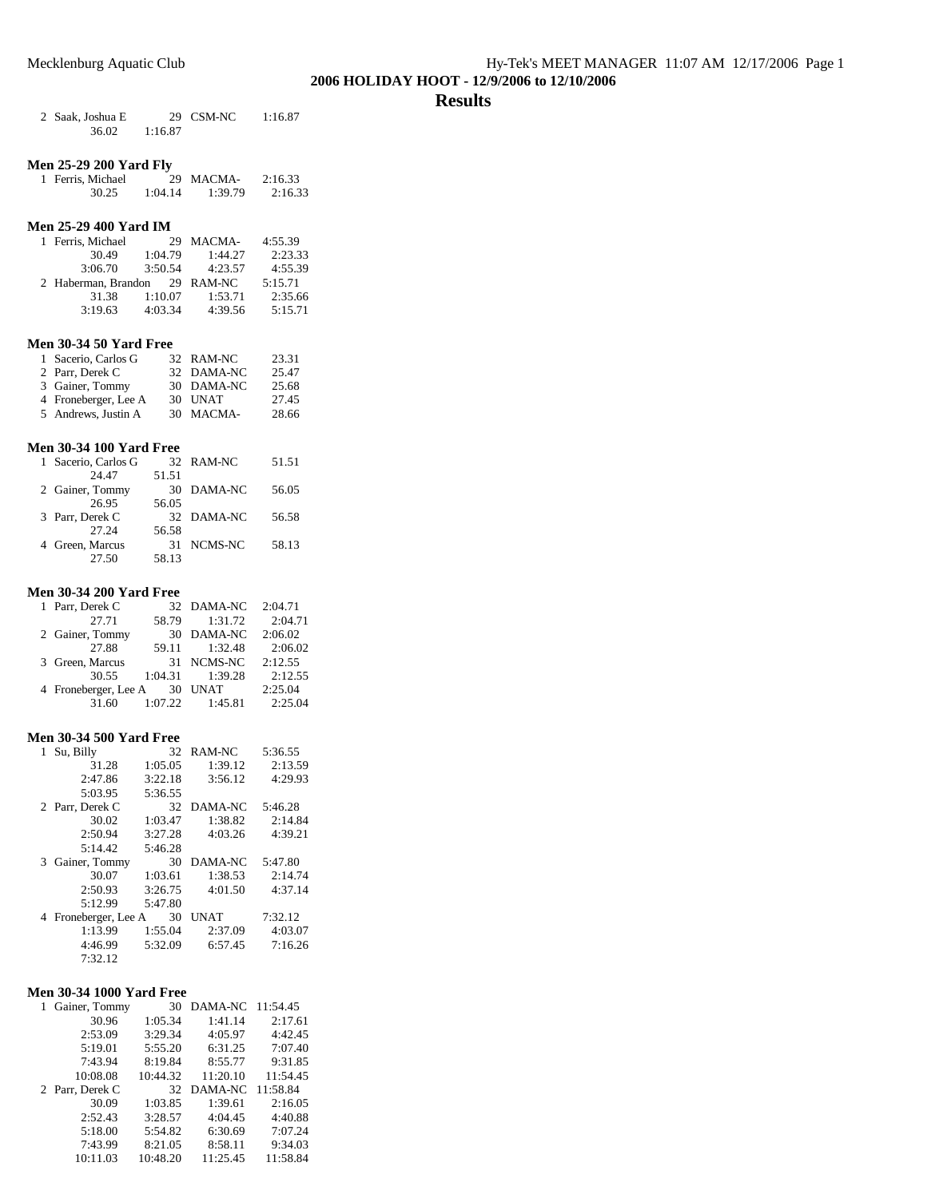## **Results**

| 2 Saak, Joshua E |         | 29 CSM-NC | 1:16.87 |
|------------------|---------|-----------|---------|
| 36.02            | 1:16.87 |           |         |

## **Men 25-29 200 Yard Fly**

| 1 Ferris, Michael |         | 29 MACMA- | 2:16.33 |
|-------------------|---------|-----------|---------|
| 30.25             | 1:04.14 | 1:39.79   | 2:16.33 |

## **Men 25-29 400 Yard IM**

| 1 Ferris, Michael   | 29      | MACMA-    | 4:55.39 |
|---------------------|---------|-----------|---------|
| 30.49               | 1:04.79 | 1:44.27   | 2:23.33 |
| 3:06.70             | 3:50.54 | 4:23.57   | 4:55.39 |
| 2 Haberman, Brandon |         | 29 RAM-NC | 5:15.71 |
| 31.38               | 1:10.07 | 1:53.71   | 2:35.66 |
| 3:19.63             | 4:03.34 | 4:39.56   | 5:15.71 |

## **Men 30-34 50 Yard Free**

| 1 Sacerio, Carlos G  | 32 RAM-NC  | 23.31 |
|----------------------|------------|-------|
| 2 Parr, Derek C      | 32 DAMA-NC | 25.47 |
| 3 Gainer, Tommy      | 30 DAMA-NC | 25.68 |
| 4 Froneberger, Lee A | 30 UNAT    | 27.45 |
| 5 Andrews, Justin A  | 30 MACMA-  | 28.66 |

#### **Men 30-34 100 Yard Free**

| 1 Sacerio, Carlos G |       | 32 RAM-NC  | 51.51 |
|---------------------|-------|------------|-------|
| 24 47               | 51.51 |            |       |
| 2 Gainer, Tommy     | 30    | DAMA-NC    | 56.05 |
| 26.95               | 56.05 |            |       |
| 3 Parr, Derek C     |       | 32 DAMA-NC | 56.58 |
| 27.24               | 56.58 |            |       |
| 4 Green, Marcus     | 31    | NCMS-NC    | 58.13 |
| 27.50               | 58.13 |            |       |

## **Men 30-34 200 Yard Free**

| 1 Parr, Derek C      |         | 32 DAMA-NC          | 2:04.71 |
|----------------------|---------|---------------------|---------|
| 27.71                | 58.79   | 1:31.72             | 2:04.71 |
| 2 Gainer, Tommy      | 30      | DAMA-NC             | 2:06.02 |
| 27.88                | 59.11   | 1:32.48             | 2:06.02 |
| 3 Green, Marcus      |         | 31 NCMS-NC          | 2:12.55 |
| 30.55                | 1:04.31 | 1:39.28             | 2:12.55 |
| 4 Froneberger, Lee A | - 30    | UNAT                | 2:25.04 |
| 31.60                |         | $1:07.22$ $1:45.81$ | 2:25.04 |

### **Men 30-34 500 Yard Free**

| Su, Billy<br>1       | 32      | RAM-NC  | 5:36.55 |
|----------------------|---------|---------|---------|
| 31.28                | 1:05.05 | 1:39.12 | 2:13.59 |
| 2:47.86              | 3:22.18 | 3:56.12 | 4:29.93 |
| 5:03.95              | 5:36.55 |         |         |
| 2 Parr, Derek C      | 32      | DAMA-NC | 5:46.28 |
| 30.02                | 1:03.47 | 1:38.82 | 2:14.84 |
| 2:50.94              | 3:27.28 | 4:03.26 | 4:39.21 |
| 5:14.42              | 5:46.28 |         |         |
|                      |         |         |         |
| 3 Gainer, Tommy      | 30      | DAMA-NC | 5:47.80 |
| 30.07                | 1:03.61 | 1:38.53 | 2:14.74 |
| 2:50.93              | 3:26.75 | 4:01.50 | 4:37.14 |
| 5:12.99              | 5:47.80 |         |         |
| 4 Froneberger, Lee A | 30      | UNAT    | 7:32.12 |
| 1:13.99              | 1:55.04 | 2:37.09 | 4:03.07 |
| 4:46.99              | 5:32.09 | 6:57.45 | 7:16.26 |

## **Men 30-34 1000 Yard Free**

| 1 Gainer, Tommy | 30       | DAMA-NC  | 11:54.45 |
|-----------------|----------|----------|----------|
| 30.96           | 1:05.34  | 1:41.14  | 2:17.61  |
| 2:53.09         | 3:29.34  | 4:05.97  | 4:42.45  |
| 5:19.01         | 5:55.20  | 6:31.25  | 7:07.40  |
| 7:43.94         | 8:19.84  | 8:55.77  | 9:31.85  |
| 10:08.08        | 10:44.32 | 11:20.10 | 11:54.45 |
| 2 Parr, Derek C | 32       | DAMA-NC  | 11:58.84 |
| 30.09           | 1:03.85  | 1:39.61  | 2:16.05  |
| 2:52.43         | 3:28.57  | 4:04.45  | 4:40.88  |
| 5:18.00         | 5:54.82  | 6:30.69  | 7:07.24  |
| 7:43.99         | 8:21.05  | 8:58.11  | 9:34.03  |
|                 |          |          |          |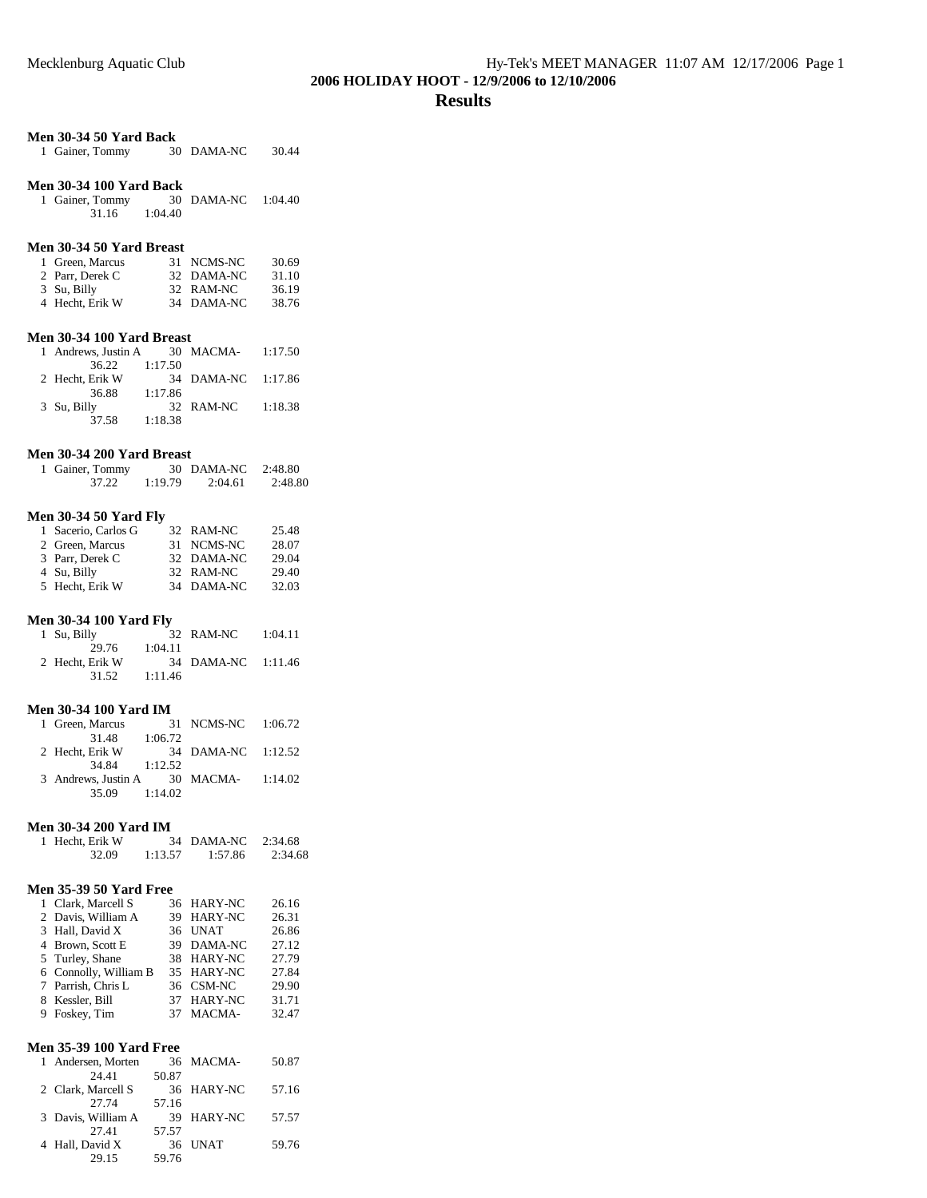## **Men 30-34 50 Yard Back**

|  | 1 Gainer, Tommy |  | 30 DAMA-NC | 30.44 |
|--|-----------------|--|------------|-------|
|--|-----------------|--|------------|-------|

## **Men 30-34 100 Yard Back**

| 1 Gainer, Tommy |         | 30 DAMA-NC | 1:04.40 |
|-----------------|---------|------------|---------|
| 31.16           | 1:04.40 |            |         |

## **Men 30-34 50 Yard Breast**

| 1 Green, Marcus | 31 NCMS-NC | 30.69 |
|-----------------|------------|-------|
| 2 Parr, Derek C | 32 DAMA-NC | 31.10 |
| 3 Su, Billy     | 32 RAM-NC  | 36.19 |
| 4 Hecht, Erik W | 34 DAMA-NC | 38.76 |

## **Men 30-34 100 Yard Breast**

| 1 Andrews, Justin A 30 MACMA- 1:17.50 |         |                    |         |
|---------------------------------------|---------|--------------------|---------|
| 36.22                                 | 1:17.50 |                    |         |
| 2 Hecht, Erik W                       |         | 34 DAMA-NC 1:17.86 |         |
| 36.88                                 | 1:17.86 |                    |         |
| 3 Su, Billy                           |         | 32 RAM-NC          | 1:18.38 |
| 37.58                                 | 1:18.38 |                    |         |

## **Men 30-34 200 Yard Breast**

| 1 Gainer, Tommy |         | 30 DAMA-NC | 2:48.80 |
|-----------------|---------|------------|---------|
| 37.22           | 1:19.79 | 2:04.61    | 2:48.80 |

## **Men 30-34 50 Yard Fly**

| 1 Sacerio, Carlos G | 32 RAM-NC  | 25.48 |
|---------------------|------------|-------|
| 2 Green, Marcus     | 31 NCMS-NC | 28.07 |
| 3 Parr, Derek C     | 32 DAMA-NC | 29.04 |
| 4 Su, Billy         | 32 RAM-NC  | 29.40 |
| 5 Hecht, Erik W     | 34 DAMA-NC | 32.03 |

## **Men 30-34 100 Yard Fly**

| 1 Su, Billy     |         | 32 RAM-NC          | 1:04.11 |
|-----------------|---------|--------------------|---------|
| 29.76           | 1:04.11 |                    |         |
| 2 Hecht, Erik W |         | 34 DAMA-NC 1:11.46 |         |
| 31.52           | 1:11.46 |                    |         |

## **Men 30-34 100 Yard IM**

| 1 Green, Marcus     |         | 31 NCMS-NC 1:06.72 |         |
|---------------------|---------|--------------------|---------|
| 31.48               | 1:06.72 |                    |         |
| 2 Hecht, Erik W     |         | 34 DAMA-NC 1:12.52 |         |
| 34.84 1:12.52       |         |                    |         |
| 3 Andrews, Justin A |         | 30 MACMA-          | 1:14.02 |
| 35.09               | 1:14.02 |                    |         |

### **Men 30-34 200 Yard IM**

| 1 Hecht, Erik W |         | 34 DAMA-NC 2:34.68 |         |
|-----------------|---------|--------------------|---------|
| 32.09           | 1:13.57 | 1:57.86            | 2:34.68 |

## **Men 35-39 50 Yard Free**

| 1 Clark, Marcell S    | 36 HARY-NC | 26.16 |
|-----------------------|------------|-------|
| 2 Davis, William A    | 39 HARY-NC | 26.31 |
| 3 Hall, David X       | 36 UNAT    | 26.86 |
| 4 Brown, Scott E      | 39 DAMA-NC | 27.12 |
| 5 Turley, Shane       | 38 HARY-NC | 27.79 |
| 6 Connolly, William B | 35 HARY-NC | 27.84 |
| 7 Parrish, Chris L    | 36 CSM-NC  | 29.90 |
| 8 Kessler, Bill       | 37 HARY-NC | 31.71 |
| 9 Foskey, Tim         | 37 MACMA-  | 32.47 |

## **Men 35-39 100 Yard Free**

| 1 Andersen, Morten |       | 36 MACMA-  | 50.87 |
|--------------------|-------|------------|-------|
| 24 41              | 50.87 |            |       |
| 2 Clark, Marcell S |       | 36 HARY-NC | 57.16 |
| 27.74              | 57.16 |            |       |
| 3 Davis, William A |       | 39 HARY-NC | 57.57 |
| 2741               | 57.57 |            |       |
| 4 Hall, David X    |       | 36 UNAT    | 59.76 |
| 29.15              | 59.76 |            |       |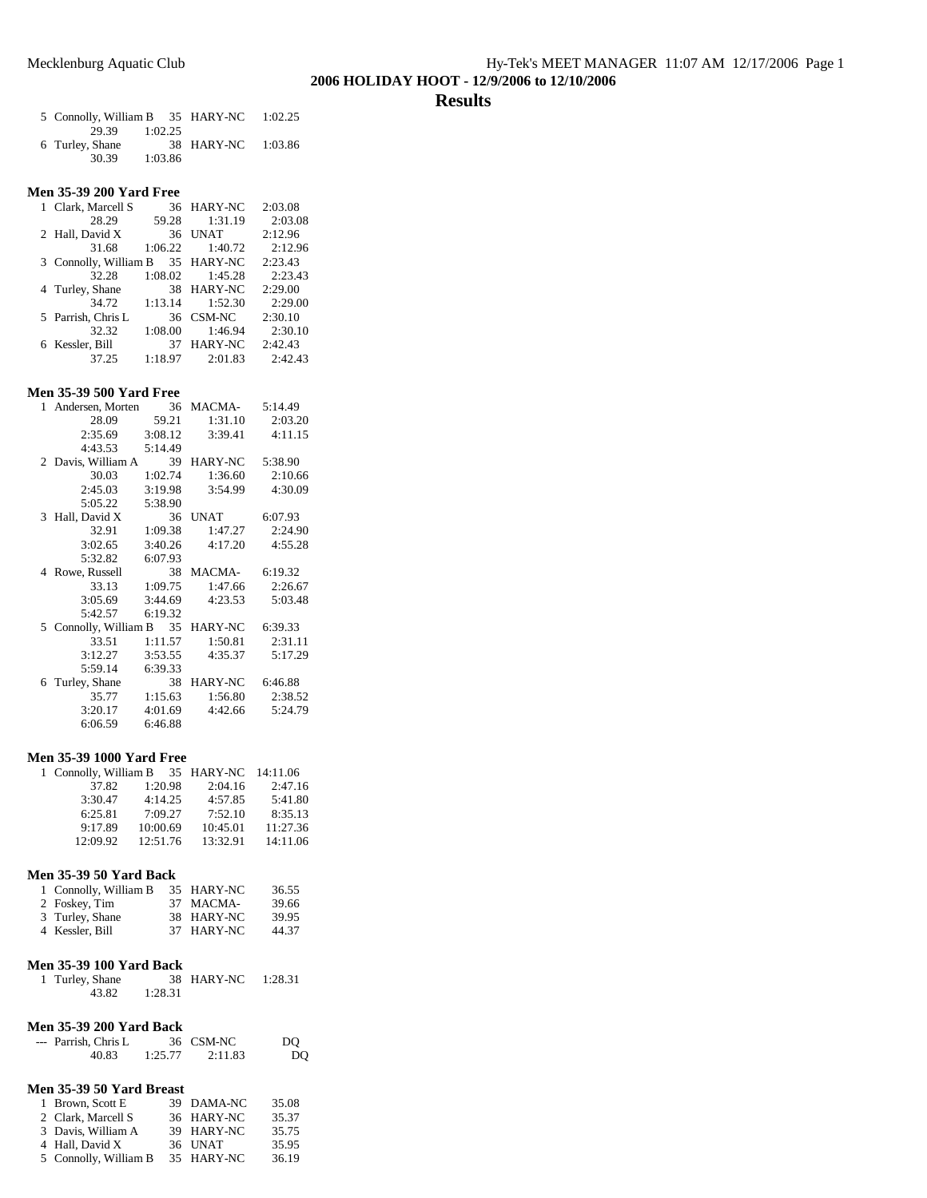### **Results**

| 5 Connolly, William B 35 HARY-NC 1:02.25 |         |                    |  |
|------------------------------------------|---------|--------------------|--|
| 29.39 1:02.25                            |         |                    |  |
| 6 Turley, Shane                          |         | 38 HARY-NC 1:03.86 |  |
| 30.39                                    | 1:03.86 |                    |  |

#### **Men 35-39 200 Yard Free**

|       |                                                                                                   |                       | 2:03.08                                                                                                                 |
|-------|---------------------------------------------------------------------------------------------------|-----------------------|-------------------------------------------------------------------------------------------------------------------------|
| 28.29 | 59.28                                                                                             |                       | 2:03.08                                                                                                                 |
|       | 36                                                                                                | <b>UNAT</b>           | 2:12.96                                                                                                                 |
| 31.68 |                                                                                                   |                       | 2:12.96                                                                                                                 |
|       |                                                                                                   |                       | 2:23.43                                                                                                                 |
| 32.28 |                                                                                                   |                       | 2:23.43                                                                                                                 |
|       |                                                                                                   |                       | 2:29.00                                                                                                                 |
| 34.72 | 1:13.14                                                                                           |                       | 2:29.00                                                                                                                 |
|       |                                                                                                   |                       | 2:30.10                                                                                                                 |
| 32.32 | 1:08.00                                                                                           | 1:46.94               | 2:30.10                                                                                                                 |
|       | 37                                                                                                | <b>HARY-NC</b>        | 2:42.43                                                                                                                 |
| 37.25 | 1:18.97                                                                                           | 2:01.83               | 2:42.43                                                                                                                 |
|       | 1 Clark, Marcell S<br>2 Hall, David X<br>4 Turley, Shane<br>5 Parrish, Chris L<br>6 Kessler, Bill | 3 Connolly, William B | 36 HARY-NC<br>1:31.19<br>$1:06.22$ $1:40.72$<br>35 HARY-NC<br>$1:08.02$ $1:45.28$<br>38 HARY-NC<br>1:52.30<br>36 CSM-NC |

#### **Men 35-39 500 Yard Free**

| 1<br>Andersen, Morten           | 36      | MACMA-         | 5:14.49 |
|---------------------------------|---------|----------------|---------|
| 28.09                           | 59.21   | 1:31.10        | 2:03.20 |
| 2:35.69                         | 3:08.12 | 3:39.41        | 4:11.15 |
| 4:43.53                         | 5:14.49 |                |         |
| 2 Davis, William A              | 39      | <b>HARY-NC</b> | 5:38.90 |
| 30.03                           | 1:02.74 | 1:36.60        | 2:10.66 |
| 2:45.03                         | 3:19.98 | 3:54.99        | 4:30.09 |
| 5:05.22                         | 5:38.90 |                |         |
| Hall, David X<br>3              | 36      | UNAT           | 6:07.93 |
| 32.91                           | 1:09.38 | 1:47.27        | 2:24.90 |
| 3:02.65                         | 3:40.26 | 4:17.20        | 4:55.28 |
| 5:32.82                         | 6:07.93 |                |         |
| Rowe, Russell<br>$\overline{4}$ | 38      | MACMA-         | 6:19.32 |
| 33.13                           | 1:09.75 | 1:47.66        | 2:26.67 |
| 3:05.69                         | 3:44.69 | 4:23.53        | 5:03.48 |
| 5:42.57                         | 6:19.32 |                |         |
| Connolly, William B<br>5.       | 35      | <b>HARY-NC</b> | 6:39.33 |
| 33.51                           | 1:11.57 | 1:50.81        | 2:31.11 |
| 3:12.27                         | 3:53.55 | 4:35.37        | 5:17.29 |
| 5:59.14                         | 6:39.33 |                |         |
| 6 Turley, Shane                 | 38      | <b>HARY-NC</b> | 6:46.88 |
| 35.77                           | 1:15.63 | 1:56.80        | 2:38.52 |
| 3:20.17                         | 4:01.69 | 4:42.66        | 5:24.79 |
| 6:06.59                         | 6:46.88 |                |         |

## **Men 35-39 1000 Yard Free**

| 1 Connolly, William B 35 HARY-NC |          |          | 14:11.06 |
|----------------------------------|----------|----------|----------|
| 37.82                            | 1:20.98  | 2:04.16  | 2:47.16  |
| 3:30.47                          | 4:14.25  | 4:57.85  | 5:41.80  |
| 6:25.81                          | 7:09.27  | 7:52.10  | 8:35.13  |
| 9:17.89                          | 10:00.69 | 10:45.01 | 11:27.36 |
| 12:09.92                         | 12:51.76 | 13:32.91 | 14:11.06 |

#### **Men 35-39 50 Yard Back**

| 1 Connolly, William B | 35 HARY-NC | 36.55 |
|-----------------------|------------|-------|
| 2 Foskey, Tim         | 37 MACMA-  | 39.66 |
| 3 Turley, Shane       | 38 HARY-NC | 39.95 |
| 4 Kessler, Bill       | 37 HARY-NC | 44.37 |

## **Men 35-39 100 Yard Back**

| 1 Turley, Shane |         | 38 HARY-NC | 1:28.31 |
|-----------------|---------|------------|---------|
| 43.82           | 1:28.31 |            |         |

#### **Men 35-39 200 Yard Back**

| --- Parrish, Chris L |         | 36 CSM-NC | DO |
|----------------------|---------|-----------|----|
| 40.83                | 1:25.77 | 2:11.83   | DO |

#### **Men 35-39 50 Yard Breast**

| 1 Brown, Scott E      | 39 DAMA-NC | 35.08 |
|-----------------------|------------|-------|
| 2 Clark, Marcell S    | 36 HARY-NC | 35.37 |
| 3 Davis, William A    | 39 HARY-NC | 35.75 |
| 4 Hall, David X       | 36 UNAT    | 35.95 |
| 5 Connolly, William B | 35 HARY-NC | 36.19 |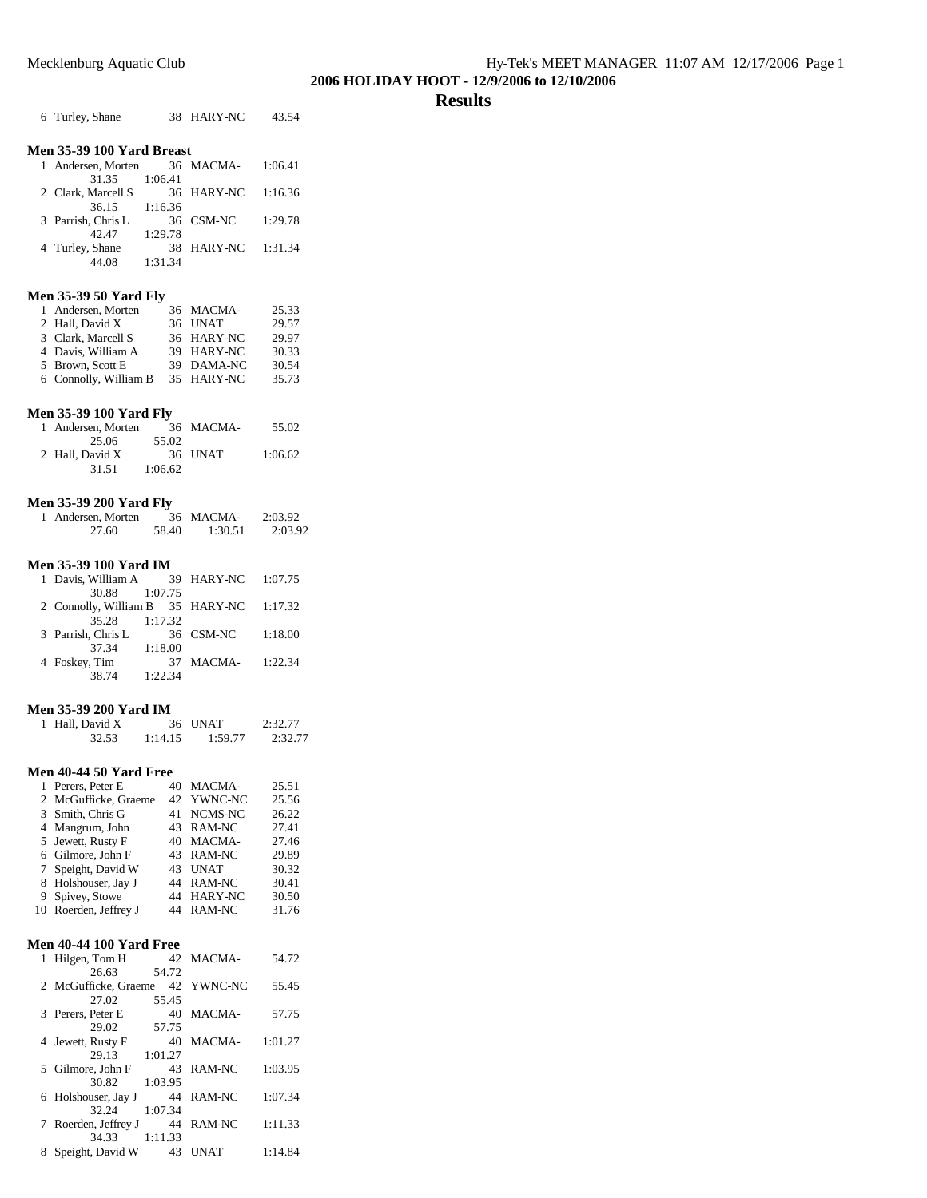## **Results**

|   | Mecklenburg Aquatic Club                                           |             |                   |                |
|---|--------------------------------------------------------------------|-------------|-------------------|----------------|
|   |                                                                    |             |                   |                |
|   | 6 Turley, Shane                                                    |             | 38 HARY-NC        | 43.54          |
|   | Men 35-39 100 Yard Breast                                          |             |                   |                |
|   | 1 Andersen, Morten                                                 | 36          | MACMA-            | 1:06.41        |
|   | 31.35<br>2 Clark, Marcell S<br>36.15                               | 1:06.41     | 36 HARY-NC        | 1:16.36        |
|   | 3 Parrish, Chris L<br>$42.47$ 1:29.78                              | 1:16.36     | 36 CSM-NC         | 1:29.78        |
|   | 4 Turley, Shane<br>44.08 1:31.34                                   |             | 38 HARY-NC        | 1:31.34        |
|   | <b>Men 35-39 50 Yard Fly</b>                                       |             |                   |                |
|   | 1 Andersen, Morten                                                 |             | 36 MACMA-         | 25.33          |
|   | 2 Hall, David X                                                    |             | 36 UNAT           | 29.57          |
|   | 3 Clark, Marcell S                                                 |             | 36 HARY-NC        | 29.97          |
|   | 4 Davis, William A                                                 |             | 39 HARY-NC        | 30.33          |
|   | 5 Brown, Scott E                                                   |             | 39 DAMA-NC        | 30.54          |
|   | 6 Connolly, William B                                              |             | 35 HARY-NC        | 35.73          |
|   | <b>Men 35-39 100 Yard Fly</b>                                      |             |                   |                |
|   | 1 Andersen, Morten                                                 |             | 36 MACMA-         | 55.02          |
|   | $25.06$ 5<br>2 Hall, David X                                       | 55.02       |                   |                |
|   |                                                                    | 36          | UNAT              | 1:06.62        |
|   | 31.51 1:06.62                                                      |             |                   |                |
|   |                                                                    |             |                   |                |
|   | <b>Men 35-39 200 Yard Fly</b>                                      |             | MACMA-            | 2:03.92        |
|   | 1 Andersen, Morten $36$<br>27.60                                   | 58.40       | 1:30.51           | 2:03.92        |
|   |                                                                    |             |                   |                |
|   | <b>Men 35-39 100 Yard IM</b>                                       |             |                   |                |
| 1 | Davis, William A 39                                                |             | HARY-NC           | 1:07.75        |
|   | 30.88                                                              | 1:07.75     |                   |                |
|   | 2 Connolly, William B 35                                           |             | HARY-NC           | 1:17.32        |
|   | 35.28 1:17.32<br>3 Parrish, Chris L 36<br>$rac{36}{27.34}$ 1:18.00 |             |                   |                |
|   |                                                                    |             | CSM-NC            | 1:18.00        |
|   | 4 Foskey, Tim                                                      | 37          | MACMA-            | 1:22.34        |
|   | 38.74 1:22.34                                                      |             |                   |                |
|   |                                                                    |             |                   |                |
|   | <b>Men 35-39 200 Yard IM</b>                                       |             |                   |                |
| 1 | Hall, David X                                                      | 36          | <b>UNAT</b>       | 2:32.77        |
|   | 32.53                                                              | 1:14.15     | 1:59.77           | 2:32.77        |
|   | Men 40-44 50 Yard Free                                             |             |                   |                |
| 1 | Perers, Peter E                                                    | 40          | <b>MACMA-</b>     | 25.51          |
| 2 | McGufficke, Graeme                                                 | 42          | YWNC-NC           | 25.56          |
|   | 3 Smith, Chris G                                                   | 41          | NCMS-NC           | 26.22          |
|   | 4 Mangrum, John                                                    | 43          | RAM-NC            | 27.41          |
| 5 | Jewett, Rusty F                                                    | 40          | <b>MACMA-</b>     | 27.46          |
|   | 6 Gilmore, John F                                                  | 43          | RAM-NC            | 29.89          |
|   | 7 Speight, David W                                                 | 43<br>44    | <b>UNAT</b>       | 30.32<br>30.41 |
| 9 | 8 Holshouser, Jay J<br>Spivey, Stowe                               | 44          | RAM-NC<br>HARY-NC | 30.50          |
|   | 10 Roerden, Jeffrey J                                              | 44          | RAM-NC            | 31.76          |
|   |                                                                    |             |                   |                |
|   | <b>Men 40-44 100 Yard Free</b>                                     |             |                   |                |
| 1 | Hilgen, Tom H                                                      | 42          | MACMA-            | 54.72          |
|   | 26.63                                                              | 54.72       |                   |                |
| 2 | McGufficke, Graeme<br>27.02                                        | 42<br>55.45 | YWNC-NC           | 55.45          |
| 3 | Perers, Peter E                                                    | 40          | MACMA-            | 57.75          |
|   | 29.02                                                              | 57.75       |                   |                |
| 4 | Jewett, Rusty F                                                    | 40          | MACMA-            | 1:01.27        |

29.13 1:01.27

30.82 1:03.95

32.24 1:07.34

34.33 1:11.33

5 Gilmore, John F 43 RAM-NC 1:03.95

6 Holshouser, Jay J  $44$  RAM-NC  $1:07.34$ 

7 Roerden, Jeffrey J 44 RAM-NC 1:11.33

8 Speight, David W 43 UNAT 1:14.84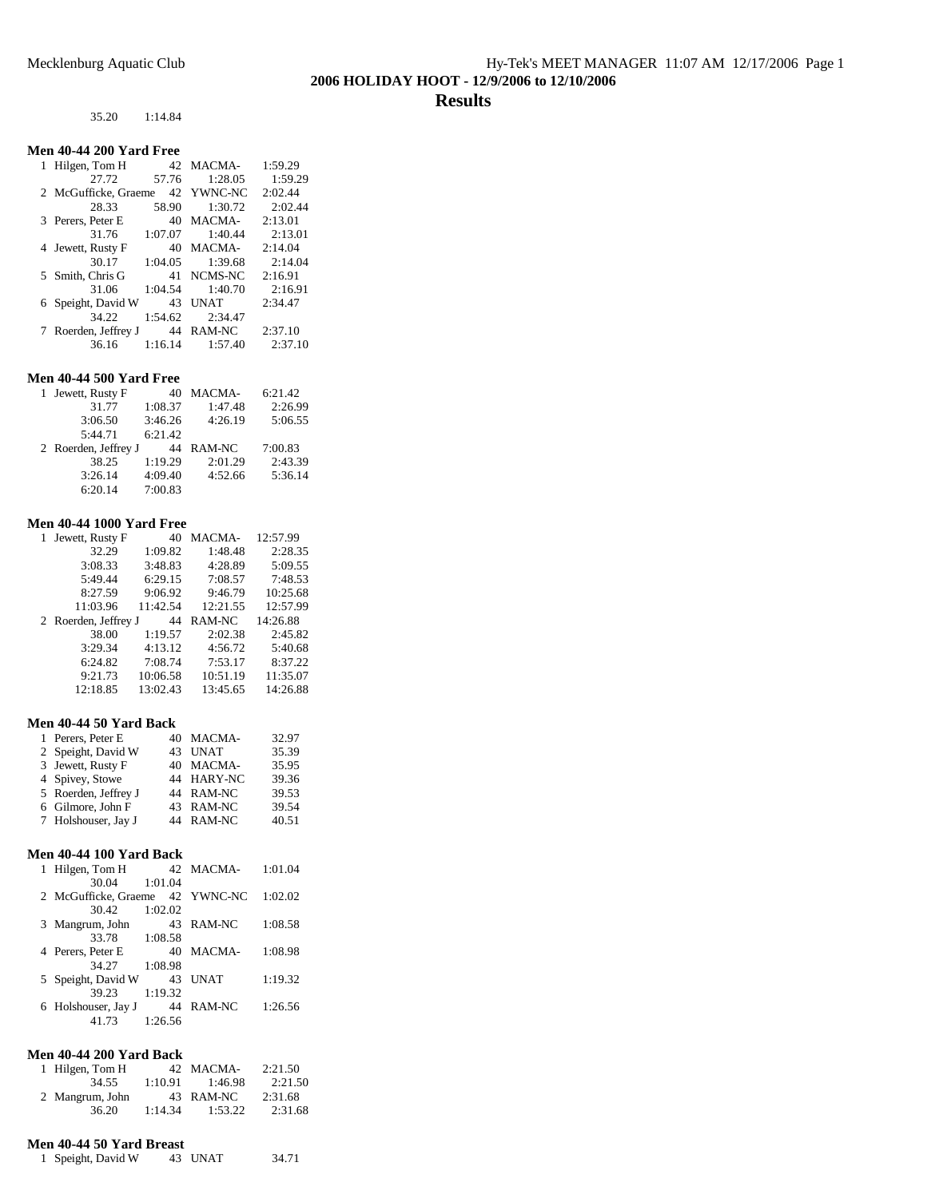## 35.20 1:14.84

## **Men 40-44 200 Yard Free**

| 1 Hilgen, Tom H      |         | 42 MACMA-           | 1:59.29 |
|----------------------|---------|---------------------|---------|
| 27.72                | 57.76   | 1:28.05             | 1:59.29 |
| 2 McGufficke, Graeme |         | 42 YWNC-NC          | 2:02.44 |
| 28.33                | 58.90   | 1:30.72             | 2:02.44 |
| 3 Perers, Peter E    |         | 40 MACMA-           | 2:13.01 |
| 31.76                | 1:07.07 | 1:40.44             | 2:13.01 |
| 4 Jewett, Rusty F    |         | 40 MACMA-           | 2:14.04 |
| 30.17                | 1:04.05 | 1:39.68             | 2:14.04 |
| 5 Smith, Chris G     |         | 41 NCMS-NC          | 2:16.91 |
| 31.06                | 1:04.54 | 1:40.70             | 2:16.91 |
| 6 Speight, David W   | 43      | <b>UNAT</b>         | 2:34.47 |
| 34.22                | 1:54.62 | 2:34.47             |         |
| 7 Roerden, Jeffrey J |         | 44 RAM-NC           | 2:37.10 |
| 36.16                |         | $1:16.14$ $1:57.40$ | 2:37.10 |

## **Men 40-44 500 Yard Free**

| 1 Jewett, Rusty F    | 40      | MACMA-  | 6:21.42 |
|----------------------|---------|---------|---------|
| 31.77                | 1:08.37 | 1:47.48 | 2:26.99 |
| 3:06.50              | 3:46.26 | 4:26.19 | 5:06.55 |
| 5:44.71              | 6:21.42 |         |         |
|                      |         |         |         |
| 2 Roerden, Jeffrey J | 44      | RAM-NC  | 7:00.83 |
| 38.25                | 1:19.29 | 2:01.29 | 2:43.39 |
| 3:26.14              | 4:09.40 | 4:52.66 | 5:36.14 |

## **Men 40-44 1000 Yard Free**

| Jewett, Rusty F<br>1 | 40       | MACMA-   | 12:57.99 |
|----------------------|----------|----------|----------|
| 32.29                | 1:09.82  | 1:48.48  | 2:28.35  |
| 3:08.33              | 3:48.83  | 4:28.89  | 5:09.55  |
| 5:49.44              | 6:29.15  | 7:08.57  | 7:48.53  |
| 8:27.59              | 9:06.92  | 9:46.79  | 10:25.68 |
| 11:03.96             | 11:42.54 | 12:21.55 | 12:57.99 |
|                      |          |          |          |
| 2 Roerden, Jeffrey J | 44       | RAM-NC   | 14:26.88 |
| 38.00                | 1:19.57  | 2:02.38  | 2:45.82  |
| 3:29.34              | 4:13.12  | 4:56.72  | 5:40.68  |
| 6:24.82              | 7:08.74  | 7:53.17  | 8:37.22  |
| 9:21.73              | 10:06.58 | 10:51.19 | 11:35.07 |
| 12:18.85             | 13:02.43 | 13:45.65 | 14:26.88 |

## **Men 40-44 50 Yard Back**

| 1 Perers, Peter E    |    | 40 MACMA-  | 32.97 |
|----------------------|----|------------|-------|
| 2 Speight, David W   | 43 | UNAT       | 35.39 |
| 3 Jewett, Rusty F    |    | 40 MACMA-  | 35.95 |
| 4 Spivey, Stowe      |    | 44 HARY-NC | 39.36 |
| 5 Roerden, Jeffrey J |    | 44 RAM-NC  | 39.53 |
| 6 Gilmore, John F    |    | 43 RAM-NC  | 39.54 |
| 7 Holshouser, Jay J  |    | 44 RAM-NC  | 40.51 |

## **Men 40-44 100 Yard Back**

| Hilgen, Tom H        |         | 42 MACMA-   | 1:01.04 |
|----------------------|---------|-------------|---------|
| 30.04                | 1:01.04 |             |         |
| 2 McGufficke, Graeme |         | 42 YWNC-NC  | 1:02.02 |
| 30.42                | 1:02.02 |             |         |
| 3 Mangrum, John      |         | 43 RAM-NC   | 1:08.58 |
| 33.78                | 1:08.58 |             |         |
| 4 Perers, Peter E    |         | 40 MACMA-   | 1:08.98 |
| 34.27                | 1:08.98 |             |         |
| 5 Speight, David W   | 43      | <b>INAT</b> | 1:19.32 |
| 39.23                | 1:19.32 |             |         |
| 6 Holshouser, Jay J  | 44      | RAM-NC      | 1:26.56 |
| 41.73                | 1:26.56 |             |         |
|                      |         |             |         |

## **Men 40-44 200 Yard Back**

| 1 Hilgen, Tom H |         | 42 MACMA- | 2:21.50 |
|-----------------|---------|-----------|---------|
| 34.55           | 1:10.91 | 1:46.98   | 2:21.50 |
| 2 Mangrum, John |         | 43 RAM-NC | 2:31.68 |
| 36.20           | 1:14.34 | 1:53.22   | 2:31.68 |

## **Men 40-44 50 Yard Breast**

| 1 Speight, David W | 43 UNAT | 34.71 |
|--------------------|---------|-------|
|--------------------|---------|-------|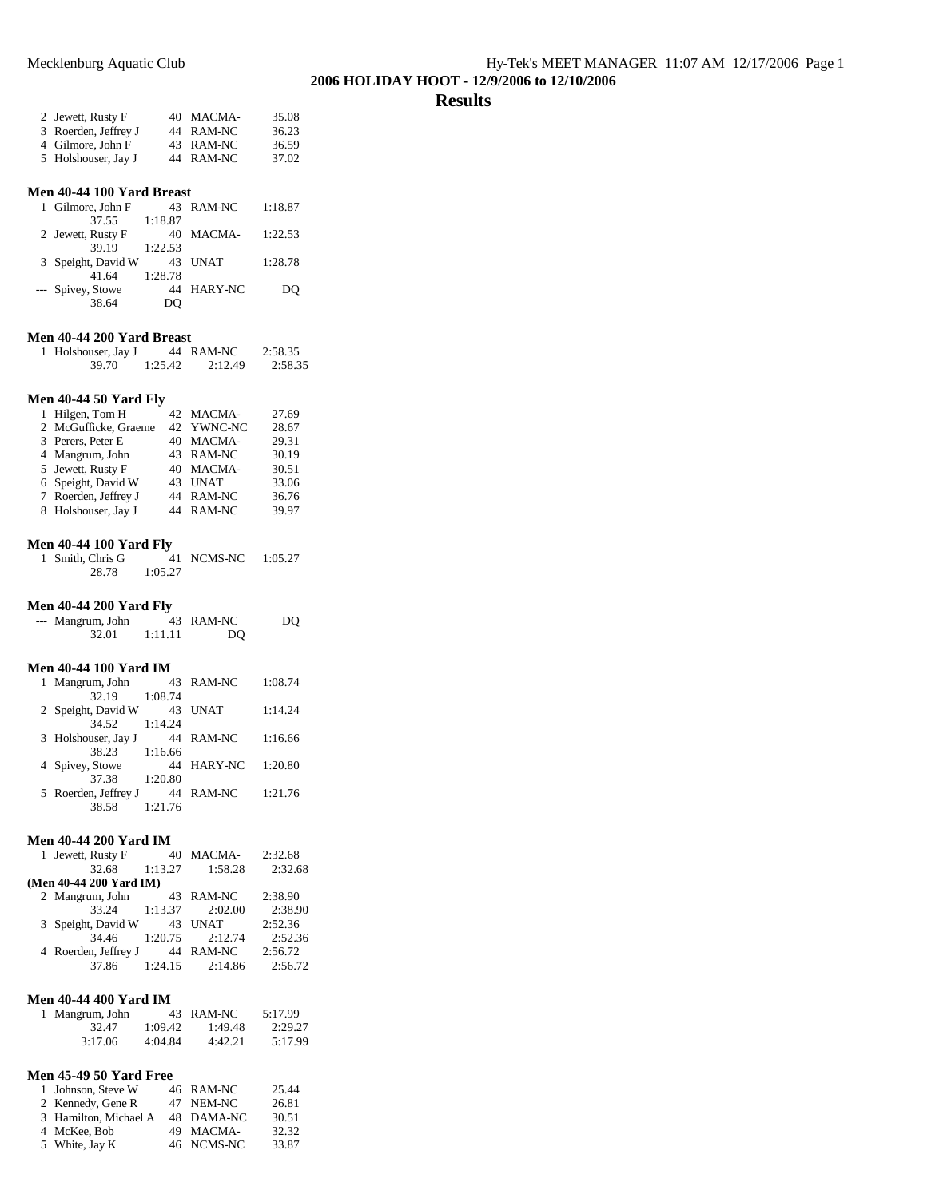## **Results**

| 2 Jewett, Rusty F    | 40 MACMA- | 35.08 |
|----------------------|-----------|-------|
| 3 Roerden, Jeffrey J | 44 RAM-NC | 36.23 |
| 4 Gilmore, John F    | 43 RAM-NC | 36.59 |
| 5 Holshouser, Jay J  | 44 RAM-NC | 37.02 |

## **Men 40-44 100 Yard Breast**

| 1 Gilmore, John F  |         | 43 RAM-NC   | 1:18.87 |
|--------------------|---------|-------------|---------|
| 37.55              | 1:18.87 |             |         |
| 2 Jewett, Rusty F  |         | 40 MACMA-   | 1:22.53 |
| 39.19              | 1:22.53 |             |         |
| 3 Speight, David W | 43      | <b>UNAT</b> | 1:28.78 |
| 41.64              | 1:28.78 |             |         |
| --- Spivey, Stowe  | 44      | HARY-NC     | DO      |
| 38.64              | DO.     |             |         |

## **Men 40-44 200 Yard Breast**

| 1 Holshouser, Jay J |         | 44 RAM-NC | 2:58.35 |
|---------------------|---------|-----------|---------|
| 39.70               | 1:25.42 | 2:12.49   | 2:58.35 |

## **Men 40-44 50 Yard Fly**

| 1 Hilgen, Tom H      | 42 MACMA-  | 27.69 |
|----------------------|------------|-------|
| 2 McGufficke, Graeme | 42 YWNC-NC | 28.67 |
| 3 Perers, Peter E    | 40 MACMA-  | 29.31 |
| 4 Mangrum, John      | 43 RAM-NC  | 30.19 |
| 5 Jewett, Rusty F    | 40 MACMA-  | 30.51 |
| 6 Speight, David W   | 43 UNAT    | 33.06 |
| 7 Roerden, Jeffrey J | 44 RAM-NC  | 36.76 |
| 8 Holshouser, Jay J  | 44 RAM-NC  | 39.97 |
|                      |            |       |

## **Men 40-44 100 Yard Fly**

| 1 Smith, Chris G |         | 41 NCMS-NC | 1:05.27 |
|------------------|---------|------------|---------|
| 28.78            | 1:05.27 |            |         |

#### **Men 40-44 200 Yard Fly**

| --- Mangrum, John |         | 43 RAM-NC | DO |
|-------------------|---------|-----------|----|
| 32.01             | 1:11.11 | DO        |    |

#### **Men 40-44 100 Yard IM**

| 1 Mangrum, John      |         | 43 RAM-NC | 1:08.74 |
|----------------------|---------|-----------|---------|
| 32.19                | 1:08.74 |           |         |
| 2 Speight, David W   | 43      | UNAT      | 1:14.24 |
| 34.52                | 1:14.24 |           |         |
| 3 Holshouser, Jay J  | 44      | RAM-NC    | 1:16.66 |
| 38.23                | 1:16.66 |           |         |
| 4 Spivey, Stowe      | 44      | HARY-NC   | 1:20.80 |
| 37.38                | 1:20.80 |           |         |
| 5 Roerden, Jeffrey J | 44      | RAM-NC    | 1:21.76 |
| 38.58                | 1:21.76 |           |         |

#### **Men 40-44 200 Yard IM**

| 1 Jewett, Rusty F       | 40      | MACMA-      | 2:32.68 |
|-------------------------|---------|-------------|---------|
| 32.68                   | 1:13.27 | 1:58.28     | 2:32.68 |
| (Men 40-44 200 Yard IM) |         |             |         |
| 2 Mangrum, John         | 43      | RAM-NC      | 2:38.90 |
| 33.24                   | 1:13.37 | 2:02.00     | 2:38.90 |
| 3 Speight, David W      | 43      | <b>UNAT</b> | 2:52.36 |
| 34.46                   | 1:20.75 | 2:12.74     | 2:52.36 |
| 4 Roerden, Jeffrey J    | 44      | RAM-NC      | 2:56.72 |
| 37.86                   | 1:24.15 | 2:14.86     | 2:56.72 |

#### **Men 40-44 400 Yard IM**

| 1 Mangrum, John |         | 43 RAM-NC | 5:17.99 |
|-----------------|---------|-----------|---------|
| 32.47           | 1:09.42 | 1:49.48   | 2:29.27 |
| 3:17.06         | 4:04.84 | 4:42.21   | 5:17.99 |

### **Men 45-49 50 Yard Free**

| 1 Johnson, Steve W    | 46 RAM-NC  | 25.44 |
|-----------------------|------------|-------|
| 2 Kennedy, Gene R     | 47 NEM-NC  | 26.81 |
| 3 Hamilton, Michael A | 48 DAMA-NC | 30.51 |
| 4 McKee, Bob          | 49 MACMA-  | 32.32 |
| 5 White, Jay K        | 46 NCMS-NC | 33.87 |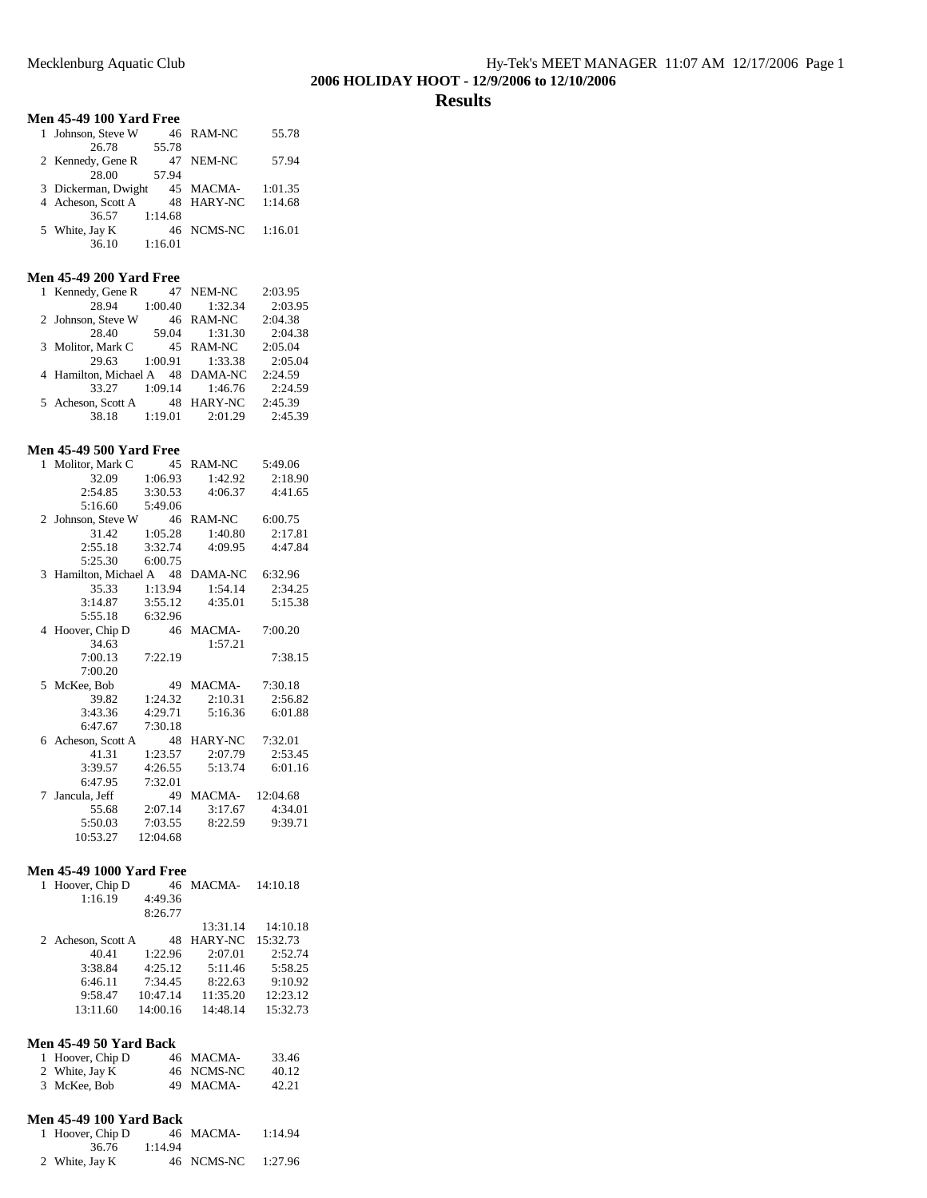## **Results**

## **Men 45-49 100 Yard Free**

| 1 Johnson, Steve W  |         | 46 RAM-NC  | 55.78   |
|---------------------|---------|------------|---------|
| 26.78               | 55.78   |            |         |
| 2 Kennedy, Gene R   | 47      | NEM-NC     | 57.94   |
| 28.00               | 57.94   |            |         |
| 3 Dickerman, Dwight |         | 45 MACMA-  | 1:01.35 |
| 4 Acheson, Scott A  |         | 48 HARY-NC | 1:14.68 |
| 36.57               | 1:14.68 |            |         |
| 5 White, Jay K      |         | 46 NCMS-NC | 1:16.01 |
| 36.10               | 1:16.01 |            |         |

## **Men 45-49 200 Yard Free**

| 1 Kennedy, Gene R                |         | 47 NEM-NC           | 2:03.95 |
|----------------------------------|---------|---------------------|---------|
| 28.94                            | 1:00.40 | 1:32.34             | 2:03.95 |
| 2 Johnson, Steve W               |         | 46 RAM-NC           | 2:04.38 |
| 28.40                            | 59.04   | 1:31.30             | 2:04.38 |
| 3 Molitor, Mark C                |         | 45 RAM-NC           | 2:05.04 |
| 29.63 1:00.91                    |         | 1:33.38             | 2:05.04 |
| 4 Hamilton, Michael A 48 DAMA-NC |         |                     | 2:24.59 |
| 33.27                            |         | $1:09.14$ $1:46.76$ | 2:24.59 |
| 5 Acheson, Scott A               | - 48    | <b>HARY-NC</b>      | 2:45.39 |
| 38.18                            | 1:19.01 | 2:01.29             | 2:45.39 |

#### **Men 45-49 500 Yard Free**

| Molitor, Mark C<br>$\mathbf{1}$ | 45       | RAM-NC  | 5:49.06  |
|---------------------------------|----------|---------|----------|
| 32.09                           | 1:06.93  | 1:42.92 | 2:18.90  |
| 2:54.85                         | 3:30.53  | 4:06.37 | 4:41.65  |
| 5:16.60                         | 5:49.06  |         |          |
| Johnson, Steve W<br>$2^{\circ}$ | 46       | RAM-NC  | 6:00.75  |
| 31.42                           | 1:05.28  | 1:40.80 | 2:17.81  |
| 2:55.18                         | 3:32.74  | 4:09.95 | 4:47.84  |
| 5:25.30                         | 6:00.75  |         |          |
| Hamilton, Michael A<br>3        | 48       | DAMA-NC | 6:32.96  |
| 35.33                           | 1:13.94  | 1:54.14 | 2:34.25  |
| 3:14.87                         | 3:55.12  | 4:35.01 | 5:15.38  |
| 5:55.18                         | 6:32.96  |         |          |
| Hoover, Chip D<br>4             | 46       | MACMA-  | 7:00.20  |
| 34.63                           |          | 1:57.21 |          |
| 7:00.13                         | 7:22.19  |         | 7:38.15  |
| 7:00.20                         |          |         |          |
| 5 McKee, Bob                    | 49       | MACMA-  | 7:30.18  |
| 39.82                           | 1:24.32  | 2:10.31 | 2:56.82  |
| 3:43.36                         | 4:29.71  | 5:16.36 | 6:01.88  |
| 6:47.67                         | 7:30.18  |         |          |
| Acheson, Scott A<br>6           | 48       | HARY-NC | 7:32.01  |
| 41.31                           | 1:23.57  | 2:07.79 | 2:53.45  |
| 3:39.57                         | 4:26.55  | 5:13.74 | 6:01.16  |
| 6:47.95                         | 7:32.01  |         |          |
| Jancula, Jeff<br>7              | 49       | MACMA-  | 12:04.68 |
| 55.68                           | 2:07.14  | 3:17.67 | 4:34.01  |
| 5:50.03                         | 7:03.55  | 8:22.59 | 9:39.71  |
| 10:53.27                        | 12:04.68 |         |          |

#### **Men 45-49 1000 Yard Free**

| 1 Hoover, Chip D   |          | 46 MACMA-      | 14:10.18 |
|--------------------|----------|----------------|----------|
| 1:16.19            | 4:49.36  |                |          |
|                    | 8:26.77  |                |          |
|                    |          | 13:31.14       | 14:10.18 |
| 2 Acheson, Scott A | 48       | <b>HARY-NC</b> | 15:32.73 |
| 40.41              | 1:22.96  | 2:07.01        | 2:52.74  |
| 3:38.84            | 4:25.12  | 5:11.46        | 5:58.25  |
| 6:46.11            | 7:34.45  | 8:22.63        | 9:10.92  |
| 9:58.47            | 10:47.14 | 11:35.20       | 12:23.12 |
| 13:11.60           | 14:00.16 | 14:48.14       | 15:32.73 |
|                    |          |                |          |

#### **Men 45-49 50 Yard Back**

| 1 Hoover, Chip D | 46 MACMA-  | 33.46 |
|------------------|------------|-------|
| 2 White, Jay K   | 46 NCMS-NC | 40.12 |
| 3 McKee, Bob     | 49 MACMA-  | 42.21 |

#### **Men 45-49 100 Yard Back**

| 1 Hoover, Chip D |         | 46 MACMA-  | 1:14.94 |
|------------------|---------|------------|---------|
| 36.76            | 1:14.94 |            |         |
| 2 White, Jay K   |         | 46 NCMS-NC | 1:27.96 |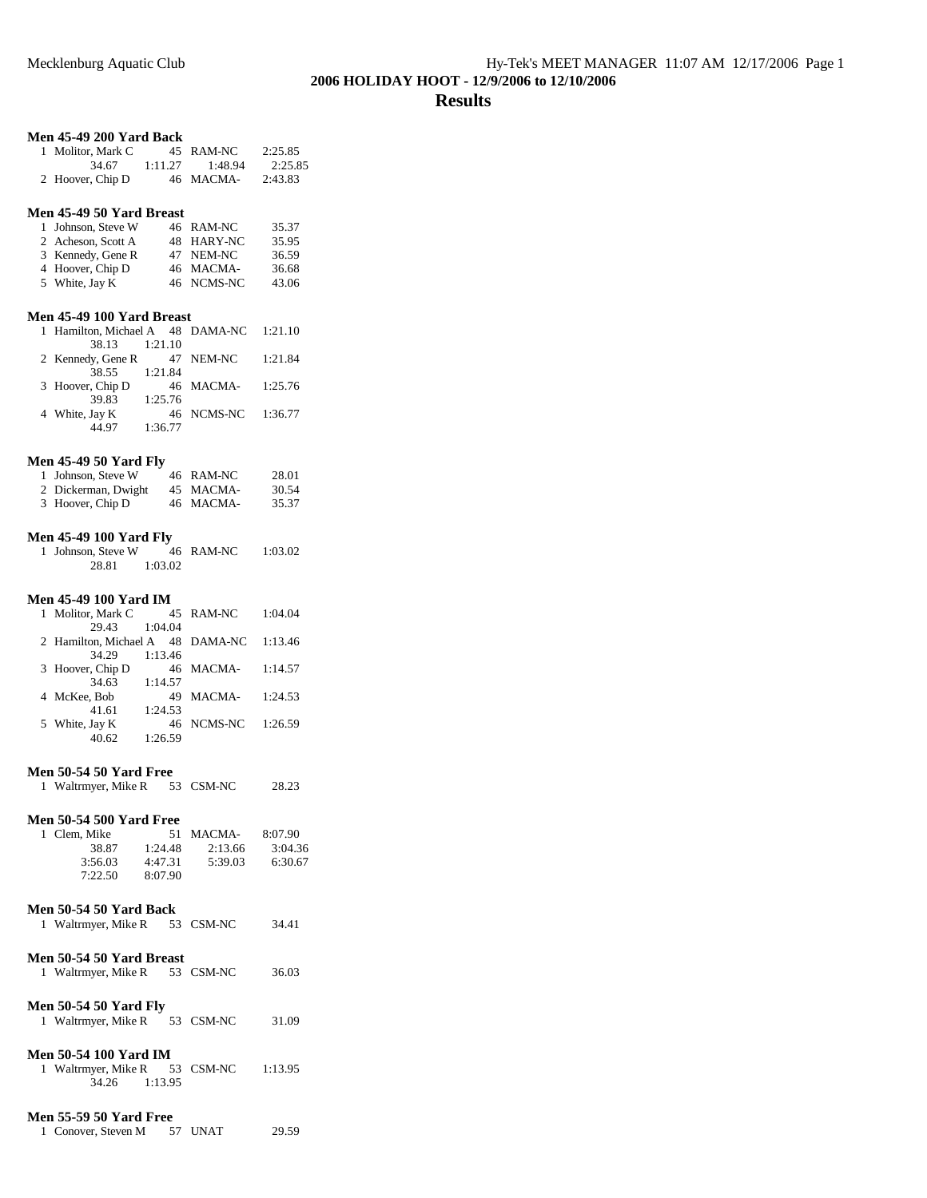#### **Men 45-49 200 Yard Back**

| 1 Molitor, Mark C |         | 45 RAM-NC | 2:25.85 |
|-------------------|---------|-----------|---------|
| 34.67             | 1:11.27 | 1:48.94   | 2:25.85 |
| 2 Hoover, Chip D  |         | 46 MACMA- | 2:43.83 |

#### **Men 45-49 50 Yard Breast**

| 1 Johnson, Steve W | 46 RAM-NC  | 35.37 |
|--------------------|------------|-------|
| 2 Acheson, Scott A | 48 HARY-NC | 35.95 |
| 3 Kennedy, Gene R  | 47 NEM-NC  | 36.59 |
| 4 Hoover, Chip D   | 46 MACMA-  | 36.68 |
| 5 White, Jay K     | 46 NCMS-NC | 43.06 |

### **Men 45-49 100 Yard Breast**

| 1 Hamilton, Michael A 48 DAMA-NC 1:21.10 |         |                    |         |
|------------------------------------------|---------|--------------------|---------|
| 38.13                                    | 1:21.10 |                    |         |
| 2 Kennedy, Gene R                        |         | 47 NEM-NC          | 1:21.84 |
| 38.55                                    | 1:21.84 |                    |         |
| 3 Hoover, Chip D                         |         | 46 MACMA- 1:25.76  |         |
| 39.83                                    | 1:25.76 |                    |         |
| 4 White, Jay K                           |         | 46 NCMS-NC 1:36.77 |         |
| 44.97                                    | 1:36.77 |                    |         |

### **Men 45-49 50 Yard Fly**

| 1 Johnson, Steve W  | 46 RAM-NC | 28.01 |
|---------------------|-----------|-------|
| 2 Dickerman, Dwight | 45 MACMA- | 30.54 |
| 3 Hoover, Chip D    | 46 MACMA- | 35.37 |

#### **Men 45-49 100 Yard Fly**

1 Johnson, Steve W 46 RAM-NC 1:03.02 28.81 1:03.02

### **Men 45-49 100 Yard IM**

| 1 Molitor, Mark C                |         | 45 RAM-NC  | 1:04.04 |
|----------------------------------|---------|------------|---------|
| 29.43                            | 1:04.04 |            |         |
| 2 Hamilton, Michael A 48 DAMA-NC |         |            | 1:13.46 |
| 34.29                            | 1:13.46 |            |         |
| 3 Hoover, Chip D                 |         | 46 MACMA-  | 1:14.57 |
| 34.63                            | 1:14.57 |            |         |
| 4 McKee, Bob                     |         | 49 MACMA-  | 1:24.53 |
| 41.61                            | 1:24.53 |            |         |
| 5 White, Jay K                   |         | 46 NCMS-NC | 1:26.59 |
| 40.62                            | 1:26.59 |            |         |

#### **Men 50-54 50 Yard Free**

| 1 Waltrmyer, Mike R | 53 CSM-NC |  | 28.23 |
|---------------------|-----------|--|-------|
|---------------------|-----------|--|-------|

## **Men 50-54 500 Yard Free**

| 1 Clem. Mike |         | 51 MACMA- | 8:07.90 |
|--------------|---------|-----------|---------|
| 38.87        | 1:24.48 | 2:13.66   | 3:04.36 |
| 3:56.03      | 4:47.31 | 5:39.03   | 6:30.67 |
| 7:22.50      | 8:07.90 |           |         |

#### **Men 50-54 50 Yard Back**

| 1 Waltrmyer, Mike R | 53 CSM-NC | 34.41 |
|---------------------|-----------|-------|
|                     |           |       |

## **Men 50-54 50 Yard Breast**

|                         | 1 Waltrmyer, Mike R | 53 CSM-NC | 36.03 |
|-------------------------|---------------------|-----------|-------|
| $M = 50.54.50 M = 3.71$ |                     |           |       |

| <b>Men 50-54 50 Yard Fly</b> |  |           |       |
|------------------------------|--|-----------|-------|
| 1 Waltrmyer, Mike R          |  | 53 CSM-NC | 31.09 |

## **Men 50-54 100 Yard IM**

| 1 Waltrmyer, Mike R |         | 53 CSM-NC | 1:13.95 |
|---------------------|---------|-----------|---------|
| 34.26               | 1:13.95 |           |         |

## **Men 55-59 50 Yard Free**

| 1 Conover, Steven M |  | 57 UNAT | 29.59 |
|---------------------|--|---------|-------|
|---------------------|--|---------|-------|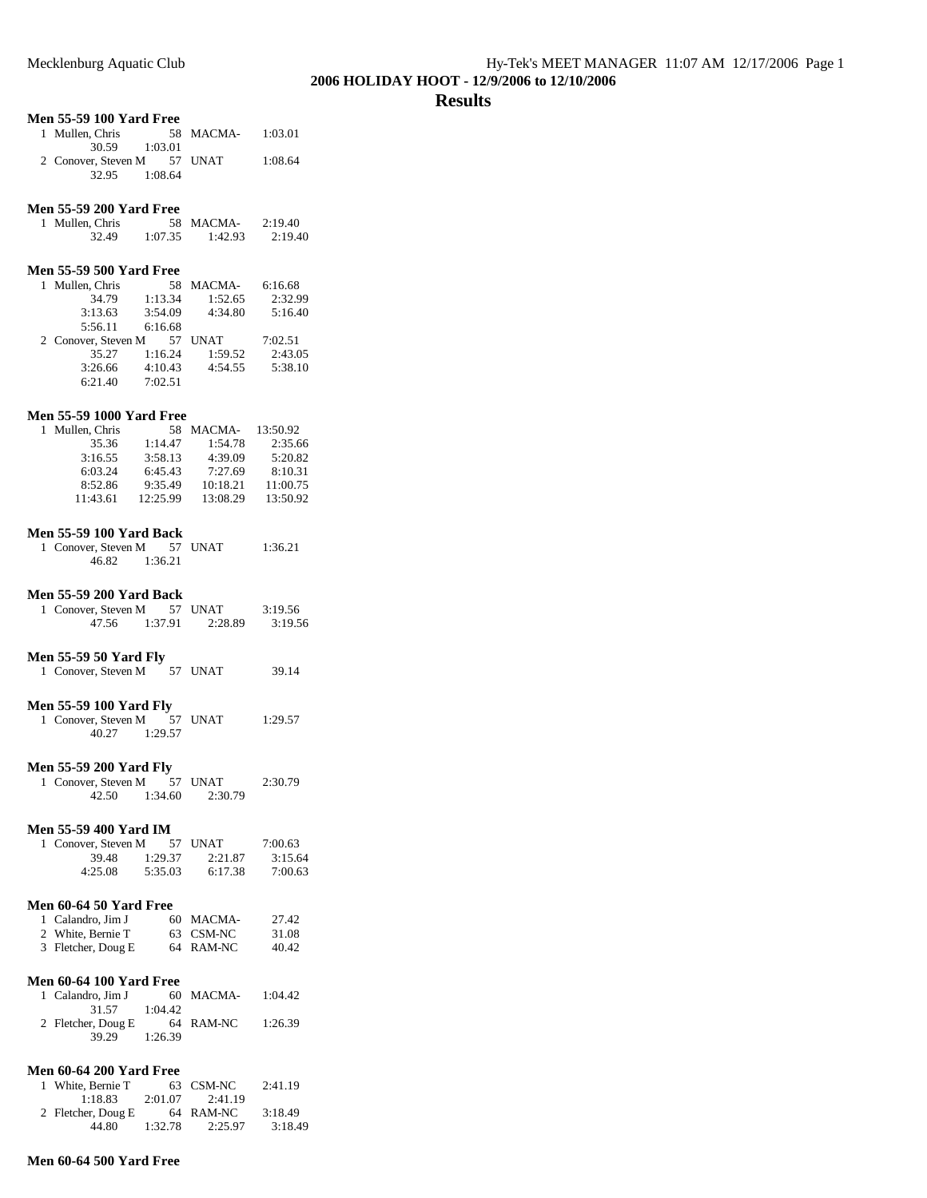### **Results**

## **Men 55-59 100 Yard Free**

| 1 Mullen, Chris             |         | 58 MACMA- | 1:03.01 |
|-----------------------------|---------|-----------|---------|
| 30.59 1:03.01               |         |           |         |
| 2 Conover, Steven M 57 UNAT |         |           | 1:08.64 |
| 32.95                       | 1:08.64 |           |         |

## **Men 55-59 200 Yard Free**

| 1 Mullen, Chris |         | 58 MACMA- | 2:19.40 |
|-----------------|---------|-----------|---------|
| 32.49           | 1:07.35 | 1:42.93   | 2:19.40 |

### **Men 55-59 500 Yard Free**

| 1 Mullen, Chris     | 58      | MACMA-      | 6:16.68 |
|---------------------|---------|-------------|---------|
| 34.79               | 1:13.34 | 1:52.65     | 2:32.99 |
| 3:13.63             | 3:54.09 | 4:34.80     | 5:16.40 |
| 5:56.11             | 6:16.68 |             |         |
|                     |         |             |         |
| 2 Conover, Steven M | 57      | <b>UNAT</b> | 7:02.51 |
| 35.27               | 1:16.24 | 1:59.52     | 2:43.05 |
| 3:26.66             | 4:10.43 | 4:54.55     | 5:38.10 |

#### **Men 55-59 1000 Yard Free**

| 1 Mullen, Chris | 58.      | MACMA-   | 13:50.92 |
|-----------------|----------|----------|----------|
| 35.36           | 1:14.47  | 1:54.78  | 2:35.66  |
| 3:16.55         | 3:58.13  | 4:39.09  | 5:20.82  |
| 6:03.24         | 6:45.43  | 7:27.69  | 8:10.31  |
| 8:52.86         | 9:35.49  | 10:18.21 | 11:00.75 |
| 11:43.61        | 12:25.99 | 13:08.29 | 13:50.92 |

### **Men 55-59 100 Yard Back**

| 1 Conover, Steven M |         | 57 UNAT | 1:36.21 |
|---------------------|---------|---------|---------|
| 46.82               | 1:36.21 |         |         |

#### **Men 55-59 200 Yard Back**

| 1 Conover, Steven M |         | 57 UNAT | 3:19.56 |
|---------------------|---------|---------|---------|
| 47.56               | 1:37.91 | 2:28.89 | 3:19.56 |

## **Men 55-59 50 Yard Fly**

| 1 Conover, Steven M | 57 UNAT | 39.14 |
|---------------------|---------|-------|
|                     |         |       |

## **Men 55-59 100 Yard Fly**

| 1 Conover, Steven M |         | 57 UNAT | 1:29.57 |
|---------------------|---------|---------|---------|
| 40.27               | 1:29.57 |         |         |

## **Men 55-59 200 Yard Fly**

| 1 Conover, Steven M |         | 57 UNAT | 2:30.79 |
|---------------------|---------|---------|---------|
| 42.50               | 1:34.60 | 2:30.79 |         |

## **Men 55-59 400 Yard IM**

| 1 Conover, Steven M |         | 57 UNAT | 7:00.63 |
|---------------------|---------|---------|---------|
| 39.48               | 1:29.37 | 2:21.87 | 3:15.64 |
| 4:25.08             | 5:35.03 | 6:17.38 | 7:00.63 |

## **Men 60-64 50 Yard Free**

| 1 Calandro, Jim J  | 60 MACMA- | 27.42 |
|--------------------|-----------|-------|
| 2 White, Bernie T  | 63 CSM-NC | 31.08 |
| 3 Fletcher, Doug E | 64 RAM-NC | 40.42 |

### **Men 60-64 100 Yard Free**

| 1 Calandro, Jim J  |         | 60 MACMA- | 1:04.42 |
|--------------------|---------|-----------|---------|
| 31.57              | 1:04.42 |           |         |
| 2 Fletcher, Doug E |         | 64 RAM-NC | 1:26.39 |
| 39.29              | 1:26.39 |           |         |

#### **Men 60-64 200 Yard Free**

| 1 White, Bernie T  |         | 63 CSM-NC | 2:41.19 |
|--------------------|---------|-----------|---------|
| 1:18.83            | 2:01.07 | 2:41.19   |         |
| 2 Fletcher, Doug E |         | 64 RAM-NC | 3:18.49 |
| 44.80              | 1:32.78 | 2:25.97   | 3:18.49 |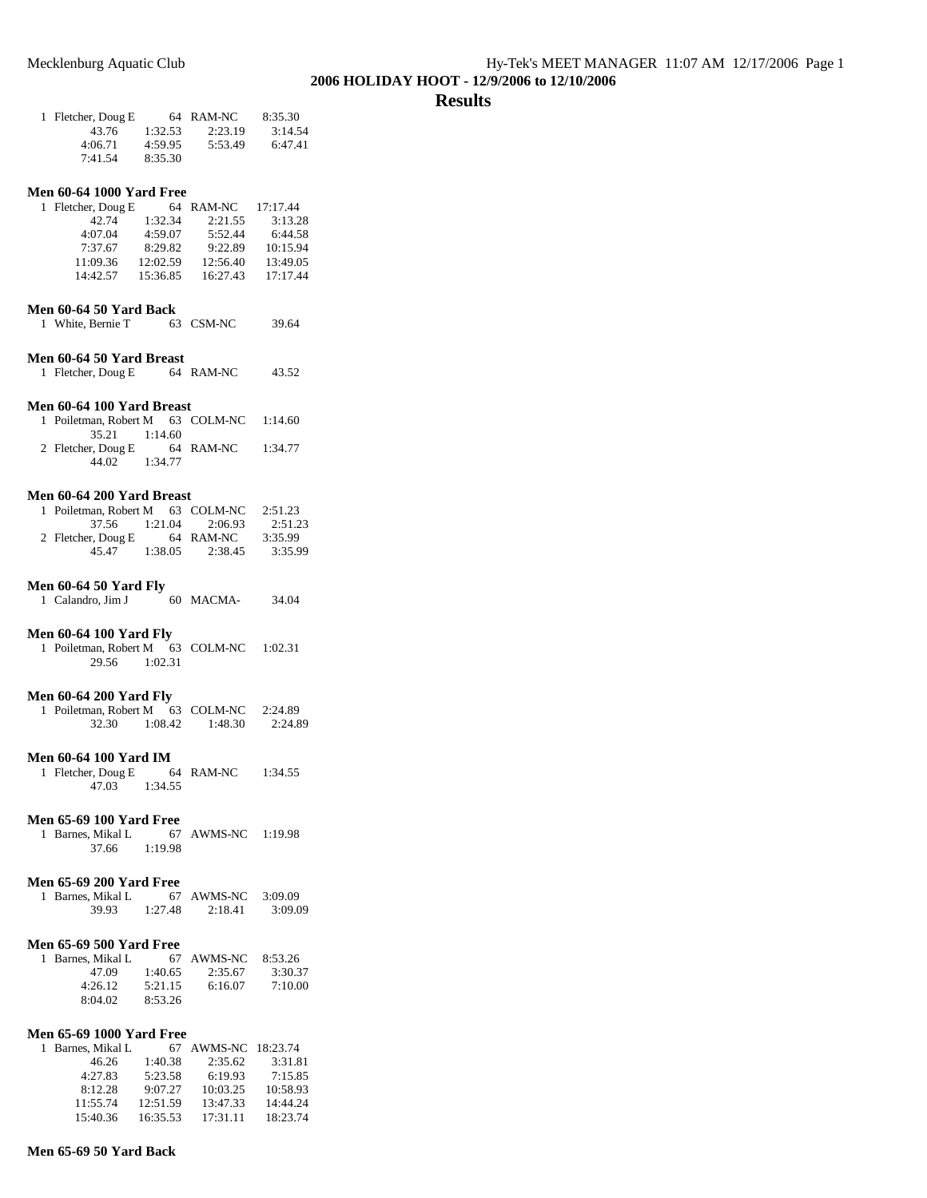## **Results**

| 1 Fletcher, Doug E |         | 64 RAM-NC | 8:35.30 |
|--------------------|---------|-----------|---------|
| 43.76              | 1:32.53 | 2:23.19   | 3:14.54 |
| 4:06.71            | 4:59.95 | 5:53.49   | 6:47.41 |
| 7:41.54            | 8:35.30 |           |         |

#### **Men 60-64 1000 Yard Free**

| 1 Fletcher, Doug E | 64       | RAM-NC   | 17:17.44 |
|--------------------|----------|----------|----------|
| 42.74              | 1:32.34  | 2:21.55  | 3:13.28  |
| 4:07.04            | 4:59.07  | 5:52.44  | 6:44.58  |
| 7:37.67            | 8:29.82  | 9:22.89  | 10:15.94 |
| 11:09.36           | 12:02.59 | 12:56.40 | 13:49.05 |
| 14:42.57           | 15:36.85 | 16:27.43 | 17:17.44 |

## **Men 60-64 50 Yard Back**

| 1 White, Bernie T | 63 CSM-NC | 39.64 |
|-------------------|-----------|-------|
|                   |           |       |

### **Men 60-64 50 Yard Breast**

1 Fletcher, Doug E 64 RAM-NC 43.52

#### **Men 60-64 100 Yard Breast**

| 1 Poiletman, Robert M 63 COLM-NC 1:14.60 |         |           |         |
|------------------------------------------|---------|-----------|---------|
| $35.21 \qquad 1:14.60$                   |         |           |         |
| 2 Fletcher, Doug E                       |         | 64 RAM-NC | 1:34.77 |
| 44.02                                    | 1:34.77 |           |         |

#### **Men 60-64 200 Yard Breast**

| 1 Poiletman, Robert M 63 COLM-NC |         |           | 2:51.23 |
|----------------------------------|---------|-----------|---------|
| 37.56                            | 1:21.04 | 2:06.93   | 2:51.23 |
| 2 Fletcher, Doug E               |         | 64 RAM-NC | 3:35.99 |
| 45.47                            | 1:38.05 | 2:38.45   | 3:35.99 |

#### **Men 60-64 50 Yard Fly**

| 1 Calandro, Jim J | 60 MACMA- | 34.04 |
|-------------------|-----------|-------|
|-------------------|-----------|-------|

#### **Men 60-64 100 Yard Fly**

1 Poiletman, Robert M 63 COLM-NC 1:02.31 29.56 1:02.31

#### **Men 60-64 200 Yard Fly**

| 1 Poiletman, Robert M |         | 63 COLM-NC | 2:24.89 |
|-----------------------|---------|------------|---------|
| 32.30                 | 1:08.42 | 1:48.30    | 2:24.89 |

#### **Men 60-64 100 Yard IM**

| 1 Fletcher, Doug E |         | 64 RAM-NC | 1:34.55 |
|--------------------|---------|-----------|---------|
| 47.03              | 1:34.55 |           |         |

#### **Men 65-69 100 Yard Free**

1 Barnes, Mikal L 67 AWMS-NC 1:19.98 37.66 1:19.98

### **Men 65-69 200 Yard Free**

| 1 Barnes, Mikal L |         | 67 AWMS-NC | 3:09.09 |
|-------------------|---------|------------|---------|
| 39.93             | 1:27.48 | 2:18.41    | 3:09.09 |

#### **Men 65-69 500 Yard Free**

| 1 Barnes, Mikal L |         | 67 AWMS-NC | 8:53.26 |
|-------------------|---------|------------|---------|
| 47.09             | 1:40.65 | 2:35.67    | 3:30.37 |
| 4:26.12           | 5:21.15 | 6:16.07    | 7:10.00 |
| 8:04.02           | 8:53.26 |            |         |

#### **Men 65-69 1000 Yard Free**

| 1 Barnes, Mikal L | 67       | AWMS-NC 18:23.74 |          |
|-------------------|----------|------------------|----------|
| 46.26             | 1:40.38  | 2:35.62          | 3:31.81  |
| 4:27.83           | 5:23.58  | 6:19.93          | 7:15.85  |
| 8:12.28           | 9:07.27  | 10:03.25         | 10:58.93 |
| 11:55.74          | 12:51.59 | 13:47.33         | 14:44.24 |
| 15:40.36          | 16:35.53 | 17:31.11         | 18:23.74 |

#### **Men 65-69 50 Yard Back**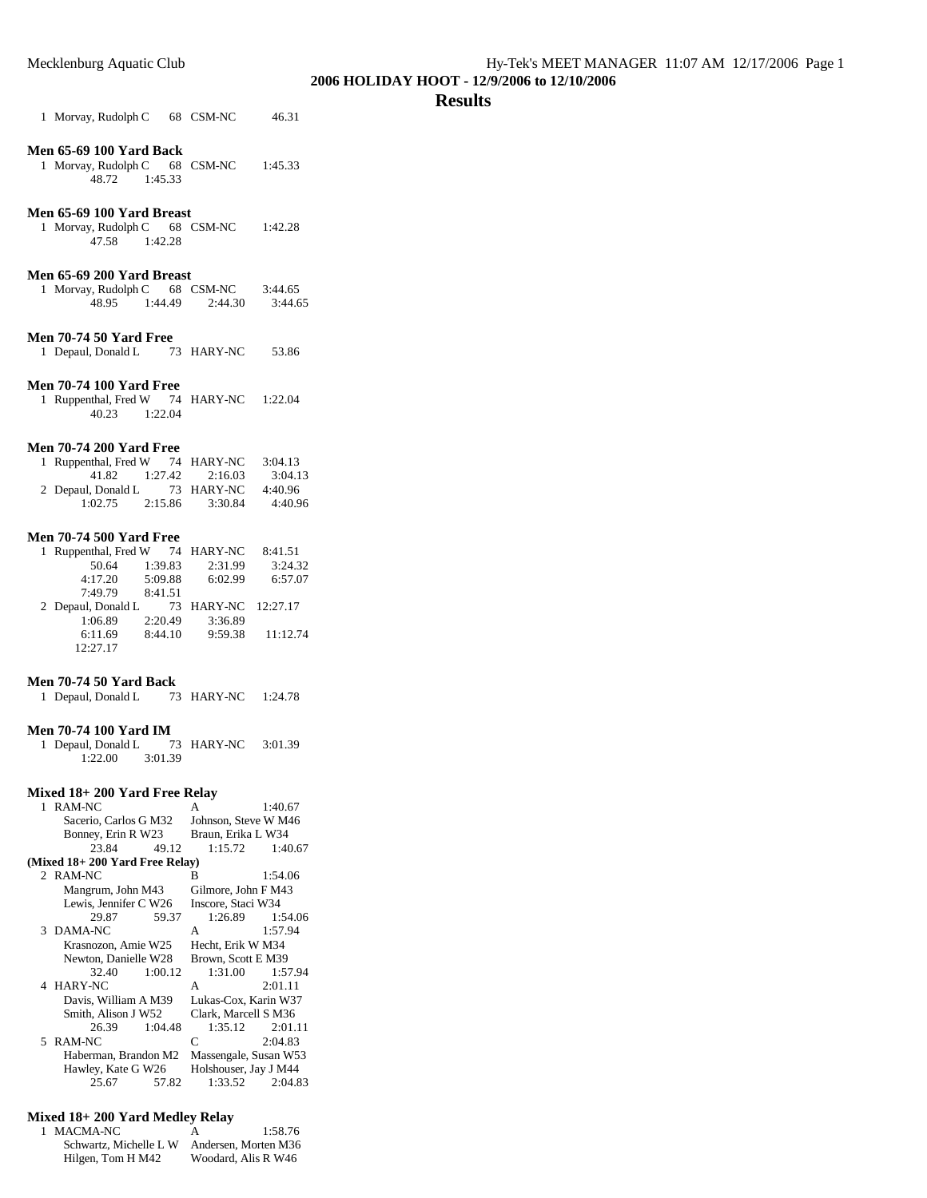#### **Results**

1 Morvay, Rudolph C 68 CSM-NC 46.31

#### **Men 65-69 100 Yard Back**

1 Morvay, Rudolph C 68 CSM-NC 1:45.33 48.72 1:45.33

## **Men 65-69 100 Yard Breast**

1 Morvay, Rudolph C 68 CSM-NC 1:42.28 47.58 1:42.28

#### **Men 65-69 200 Yard Breast**

| 1 Morvay, Rudolph C |         | 68 CSM-NC | 3:44.65 |
|---------------------|---------|-----------|---------|
| 48.95               | 1:44.49 | 2:44.30   | 3:44.65 |

### **Men 70-74 50 Yard Free**

| 1 Depaul, Donald L | 73 HARY-NC | 53.86 |
|--------------------|------------|-------|
|                    |            |       |

## **Men 70-74 100 Yard Free**

| 1 Ruppenthal, Fred W |         | 74 HARY-NC | 1:22.04 |
|----------------------|---------|------------|---------|
| 40.23                | 1:22.04 |            |         |

#### **Men 70-74 200 Yard Free**

| 1 Ruppenthal, Fred W |         | 74 HARY-NC | 3:04.13 |
|----------------------|---------|------------|---------|
| 41.82                | 1:27.42 | 2:16.03    | 3:04.13 |
| 2 Depaul, Donald L   |         | 73 HARY-NC | 4:40.96 |
| 1:02.75              | 2:15.86 | 3:30.84    | 4:40.96 |

#### **Men 70-74 500 Yard Free**

| 1 Ruppenthal, Fred W 74 HARY-NC |         |                     | 8:41.51  |
|---------------------------------|---------|---------------------|----------|
| 50.64                           | 1:39.83 | 2:31.99             | 3:24.32  |
| 4:17.20                         | 5:09.88 | 6:02.99             | 6:57.07  |
| 7:49.79                         | 8:41.51 |                     |          |
|                                 |         |                     |          |
| 2 Depaul, Donald L              |         | 73 HARY-NC 12:27.17 |          |
| 1:06.89                         | 2:20.49 | 3:36.89             |          |
| 6:11.69                         | 8:44.10 | 9:59.38             | 11:12.74 |

## **Men 70-74 50 Yard Back**

| 1 Depaul, Donald L |  | 73 HARY-NC | 1:24.78 |
|--------------------|--|------------|---------|
|--------------------|--|------------|---------|

#### **Men 70-74 100 Yard IM**

| 1 Depaul, Donald L |         | 73 HARY-NC | 3:01.39 |
|--------------------|---------|------------|---------|
| 1:22.00            | 3:01.39 |            |         |

#### **Mixed 18+ 200 Yard Free Relay**

| 1 | RAM-NC                         |         | A                     | 1:40.67             |
|---|--------------------------------|---------|-----------------------|---------------------|
|   | Sacerio, Carlos G M32          |         | Johnson, Steve W M46  |                     |
|   | Bonney, Erin R W23             |         | Braun, Erika L W34    |                     |
|   | 23.84                          | 49.12   | 1:15.72               | 1:40.67             |
|   | (Mixed 18+200 Yard Free Relay) |         |                       |                     |
|   | 2 RAM-NC                       |         | B                     | 1:54.06             |
|   | Mangrum, John M43              |         | Gilmore, John F M43   |                     |
|   | Lewis, Jennifer C W26          |         | Inscore, Staci W34    |                     |
|   | 29.87                          | 59.37   |                       | $1:26.89$ $1:54.06$ |
|   | 3 DAMA-NC                      |         | A                     | 1:57.94             |
|   | Krasnozon, Amie W25            |         | Hecht, Erik W M34     |                     |
|   | Newton, Danielle W28           |         | Brown, Scott E M39    |                     |
|   | 32.40                          | 1:00.12 | 1:31.00               | 1:57.94             |
|   | 4 HARY-NC                      |         | A                     | 2:01.11             |
|   | Davis, William A M39           |         | Lukas-Cox, Karin W37  |                     |
|   | Smith, Alison J W52            |         | Clark, Marcell S M36  |                     |
|   | 26.39                          | 1:04.48 |                       | $1:35.12$ $2:01.11$ |
|   | 5 RAM-NC                       |         | C                     | 2:04.83             |
|   | Haberman, Brandon M2           |         | Massengale, Susan W53 |                     |
|   | Hawley, Kate G W26             |         | Holshouser, Jay J M44 |                     |
|   | 25.67                          | 57.82   |                       | $1:33.52$ $2:04.83$ |

#### **Mixed 18+ 200 Yard Medley Relay**

| 1 MACMA-NC             | А | 1:58.76              |
|------------------------|---|----------------------|
| Schwartz, Michelle L W |   | Andersen, Morten M36 |
| Hilgen, Tom H M42      |   | Woodard, Alis R W46  |